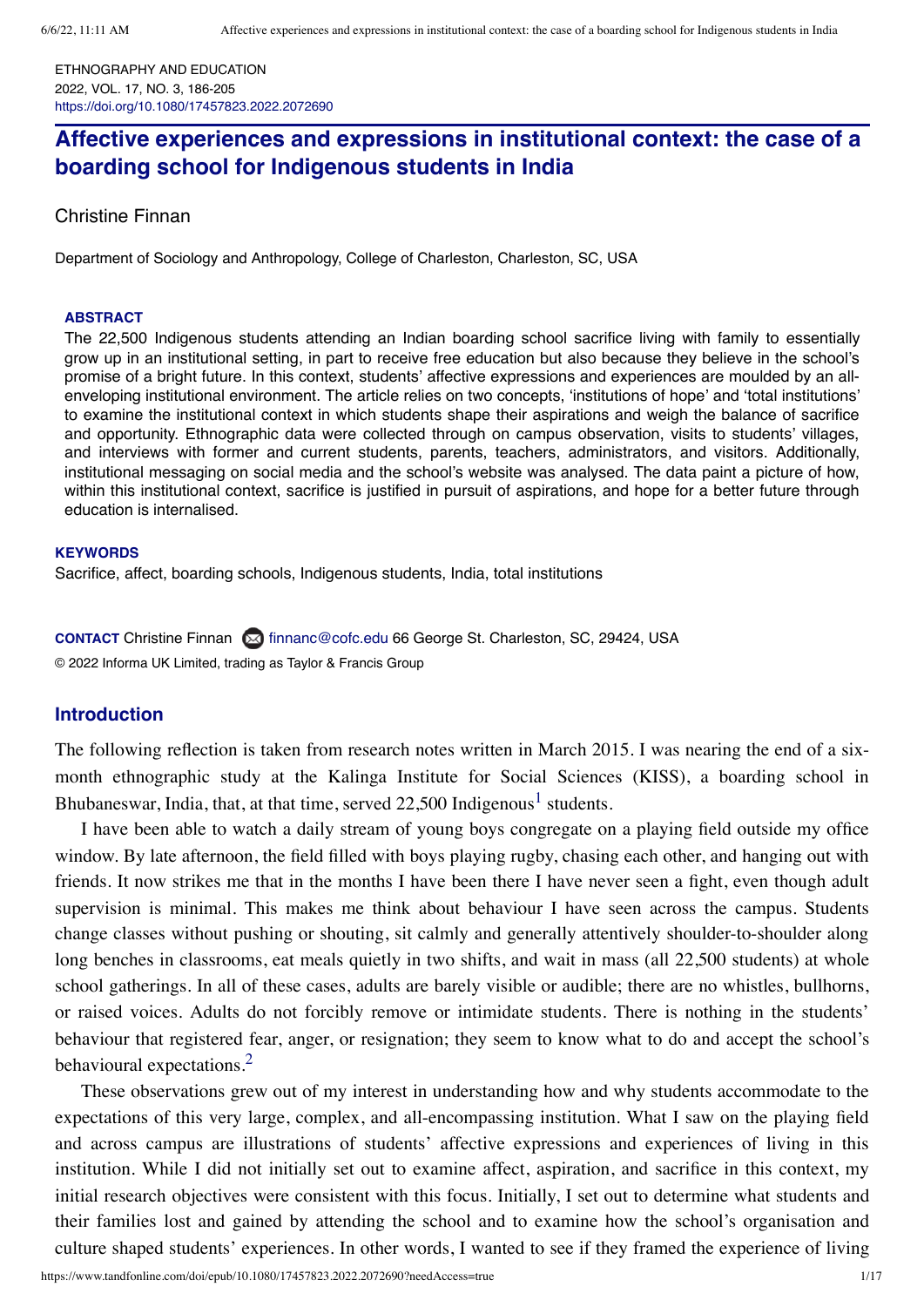ETHNOGRAPHY AND EDUCATION 2022, VOL. 17, NO. 3, 186-205 <https://doi.org/10.1080/17457823.2022.2072690>

# **Affective experiences and expressions in institutional context: the case of a boarding school for Indigenous students in India**

[Christine](https://orcid.org/0000-0002-6941-1372) Finnan

Department of Sociology and Anthropology, College of Charleston, Charleston, SC, USA

#### **ABSTRACT**

The 22,500 Indigenous students attending an Indian boarding school sacrifice living with family to essentially grow up in an institutional setting, in part to receive free education but also because they believe in the school's promise of a bright future. In this context, students' affective expressions and experiences are moulded by an allenveloping institutional environment. The article relies on two concepts, 'institutions of hope' and 'total institutions' to examine the institutional context in which students shape their aspirations and weigh the balance of sacrifice and opportunity. Ethnographic data were collected through on campus observation, visits to students' villages, and interviews with former and current students, parents, teachers, administrators, and visitors. Additionally, institutional messaging on social media and the school's website was analysed. The data paint a picture of how, within this institutional context, sacrifice is justified in pursuit of aspirations, and hope for a better future through education is internalised.

#### **KEYWORDS**

Sacrifice, affect, boarding schools, Indigenous students, India, total institutions

**CONTACT** Christine Finnan (X) [finnanc@cofc.edu](mailto:finnanc@cofc.edu) 66 George St. Charleston, SC, 29424, USA © 2022 Informa UK Limited, trading as Taylor & Francis Group

#### **Introduction**

The following reflection is taken from research notes written in March 2015. I was nearing the end of a sixmonth ethnographic study at the Kalinga Institute for Social Sciences (KISS), a boarding school in Bhubaneswar, India, that, at that time, served  $22,500$  Indigenous<sup>[1](#page-13-0)</sup> students.

I have been able to watch a daily stream of young boys congregate on a playing field outside my office window. By late afternoon, the field filled with boys playing rugby, chasing each other, and hanging out with friends. It now strikes me that in the months I have been there I have never seen a fight, even though adult supervision is minimal. This makes me think about behaviour I have seen across the campus. Students change classes without pushing or shouting, sit calmly and generally attentively shoulder-to-shoulder along long benches in classrooms, eat meals quietly in two shifts, and wait in mass (all 22,500 students) at whole school gatherings. In all of these cases, adults are barely visible or audible; there are no whistles, bullhorns, or raised voices. Adults do not forcibly remove or intimidate students. There is nothing in the students' behaviour that registered fear, anger, or resignation; they seem to know what to do and accept the school's behavioural expectations.<sup>[2](#page-13-1)</sup>

These observations grew out of my interest in understanding how and why students accommodate to the expectations of this very large, complex, and all-encompassing institution. What I saw on the playing field and across campus are illustrations of students' affective expressions and experiences of living in this institution. While I did not initially set out to examine affect, aspiration, and sacrifice in this context, my initial research objectives were consistent with this focus. Initially, I set out to determine what students and their families lost and gained by attending the school and to examine how the school's organisation and culture shaped students' experiences. In other words, I wanted to see if they framed the experience of living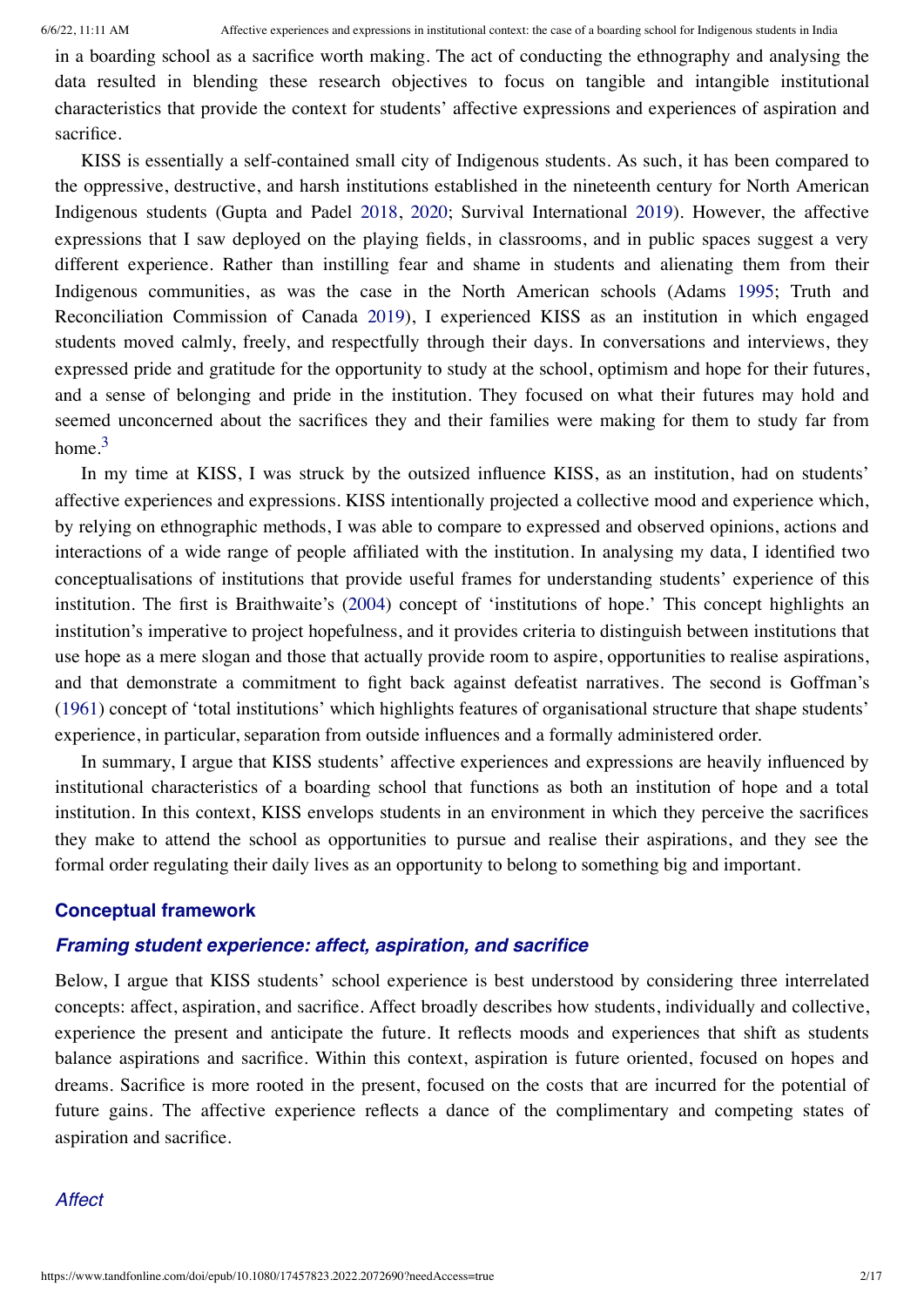in a boarding school as a sacrifice worth making. The act of conducting the ethnography and analysing the data resulted in blending these research objectives to focus on tangible and intangible institutional characteristics that provide the context for students' affective expressions and experiences of aspiration and sacrifice.

KISS is essentially a self-contained small city of Indigenous students. As such, it has been compared to the oppressive, destructive, and harsh institutions established in the nineteenth century for North American Indigenous students (Gupta and Padel [2018,](#page-15-0) [2020;](#page-15-1) Survival International [2019\)](#page-16-0). However, the affective expressions that I saw deployed on the playing fields, in classrooms, and in public spaces suggest a very different experience. Rather than instilling fear and shame in students and alienating them from their Indigenous communities, as was the case in the North American schools (Adams [1995](#page-15-2); Truth and Reconciliation Commission of Canada [2019\)](#page-16-1), I experienced KISS as an institution in which engaged students moved calmly, freely, and respectfully through their days. In conversations and interviews, they expressed pride and gratitude for the opportunity to study at the school, optimism and hope for their futures, and a sense of belonging and pride in the institution. They focused on what their futures may hold and seemed unconcerned about the sacrifices they and their families were making for them to study far from home. $3$ 

In my time at KISS, I was struck by the outsized influence KISS, as an institution, had on students' affective experiences and expressions. KISS intentionally projected a collective mood and experience which, by relying on ethnographic methods, I was able to compare to expressed and observed opinions, actions and interactions of a wide range of people affiliated with the institution. In analysing my data, I identified two conceptualisations of institutions that provide useful frames for understanding students' experience of this institution. The first is Braithwaite's [\(2004](#page-15-3)) concept of 'institutions of hope.' This concept highlights an institution's imperative to project hopefulness, and it provides criteria to distinguish between institutions that use hope as a mere slogan and those that actually provide room to aspire, opportunities to realise aspirations, and that demonstrate a commitment to fight back against defeatist narratives. The second is Goffman's [\(1961](#page-15-4)) concept of 'total institutions' which highlights features of organisational structure that shape students' experience, in particular, separation from outside influences and a formally administered order.

In summary, I argue that KISS students' affective experiences and expressions are heavily influenced by institutional characteristics of a boarding school that functions as both an institution of hope and a total institution. In this context, KISS envelops students in an environment in which they perceive the sacrifices they make to attend the school as opportunities to pursue and realise their aspirations, and they see the formal order regulating their daily lives as an opportunity to belong to something big and important.

## **Conceptual framework**

# *Framing student experience: affect, aspiration, and sacrifice*

Below, I argue that KISS students' school experience is best understood by considering three interrelated concepts: affect, aspiration, and sacrifice. Affect broadly describes how students, individually and collective, experience the present and anticipate the future. It reflects moods and experiences that shift as students balance aspirations and sacrifice. Within this context, aspiration is future oriented, focused on hopes and dreams. Sacrifice is more rooted in the present, focused on the costs that are incurred for the potential of future gains. The affective experience reflects a dance of the complimentary and competing states of aspiration and sacrifice.

## *Affect*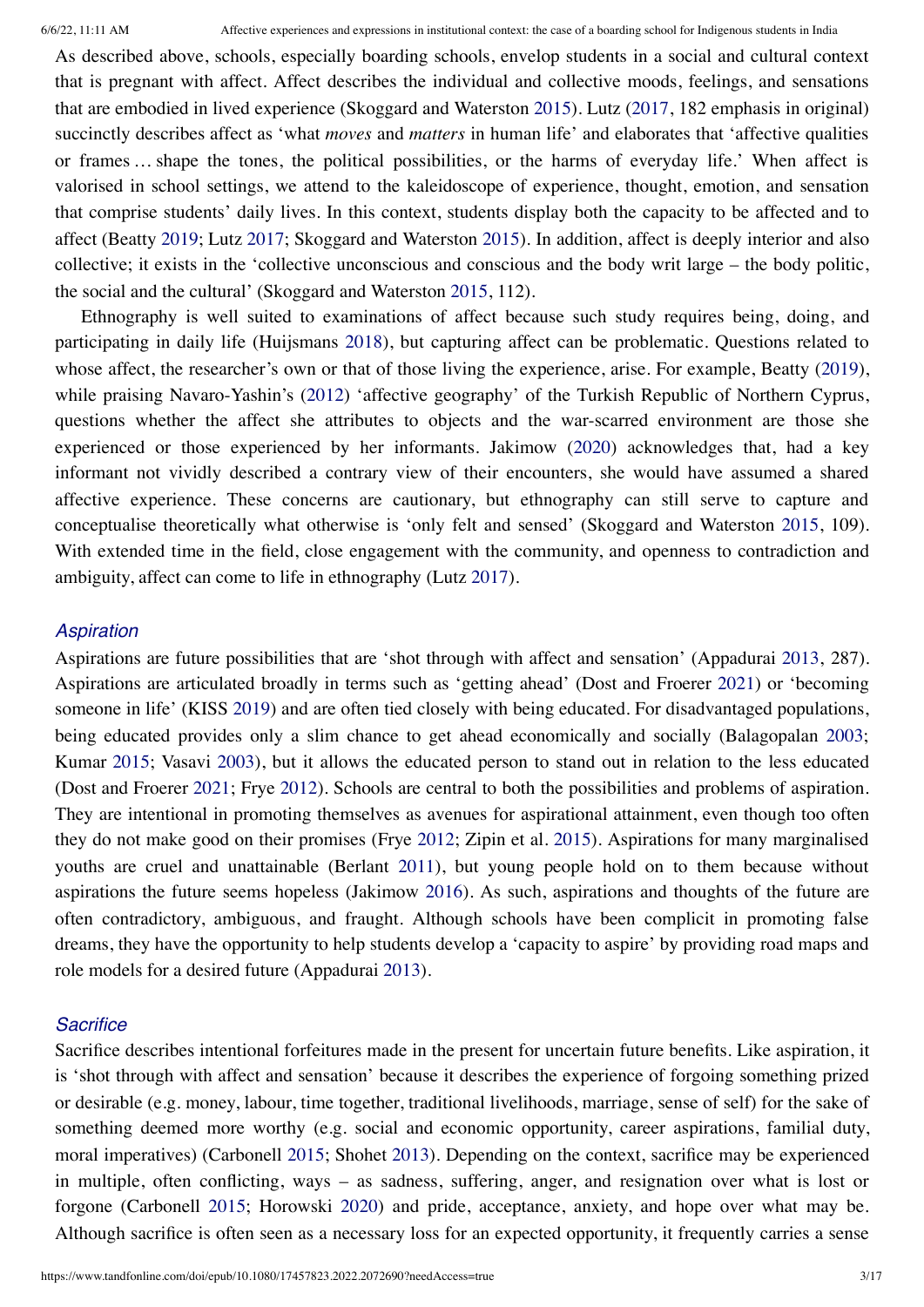As described above, schools, especially boarding schools, envelop students in a social and cultural context that is pregnant with affect. Affect describes the individual and collective moods, feelings, and sensations that are embodied in lived experience (Skoggard and Waterston [2015](#page-16-2)). Lutz [\(2017](#page-16-3), 182 emphasis in original) succinctly describes affect as 'what *moves* and *matters* in human life' and elaborates that 'affective qualities or frames … shape the tones, the political possibilities, or the harms of everyday life.' When affect is valorised in school settings, we attend to the kaleidoscope of experience, thought, emotion, and sensation that comprise students' daily lives. In this context, students display both the capacity to be affected and to affect (Beatty [2019;](#page-15-5) Lutz [2017](#page-16-3); Skoggard and Waterston [2015\)](#page-16-2). In addition, affect is deeply interior and also collective; it exists in the 'collective unconscious and conscious and the body writ large – the body politic, the social and the cultural' (Skoggard and Waterston [2015](#page-16-2), 112).

Ethnography is well suited to examinations of affect because such study requires being, doing, and participating in daily life (Huijsmans [2018](#page-15-6)), but capturing affect can be problematic. Questions related to whose affect, the researcher's own or that of those living the experience, arise. For example, Beatty [\(2019](#page-15-5)), while praising Navaro-Yashin's ([2012\)](#page-16-4) 'affective geography' of the Turkish Republic of Northern Cyprus, questions whether the affect she attributes to objects and the war-scarred environment are those she experienced or those experienced by her informants. Jakimow ([2020\)](#page-15-7) acknowledges that, had a key informant not vividly described a contrary view of their encounters, she would have assumed a shared affective experience. These concerns are cautionary, but ethnography can still serve to capture and conceptualise theoretically what otherwise is 'only felt and sensed' (Skoggard and Waterston [2015,](#page-16-2) 109). With extended time in the field, close engagement with the community, and openness to contradiction and ambiguity, affect can come to life in ethnography (Lutz [2017\)](#page-16-3).

#### *Aspiration*

Aspirations are future possibilities that are 'shot through with affect and sensation' (Appadurai [2013,](#page-15-8) 287). Aspirations are articulated broadly in terms such as 'getting ahead' (Dost and Froerer [2021](#page-15-9)) or 'becoming someone in life' (KISS [2019](#page-15-10)) and are often tied closely with being educated. For disadvantaged populations, being educated provides only a slim chance to get ahead economically and socially (Balagopalan [2003;](#page-15-11) Kumar [2015](#page-15-12); Vasavi [2003](#page-16-5)), but it allows the educated person to stand out in relation to the less educated (Dost and Froerer [2021;](#page-15-9) Frye [2012\)](#page-15-13). Schools are central to both the possibilities and problems of aspiration. They are intentional in promoting themselves as avenues for aspirational attainment, even though too often they do not make good on their promises (Frye [2012](#page-15-13); Zipin et al. [2015\)](#page-16-6). Aspirations for many marginalised youths are cruel and unattainable (Berlant [2011](#page-15-14)), but young people hold on to them because without aspirations the future seems hopeless (Jakimow [2016](#page-15-15)). As such, aspirations and thoughts of the future are often contradictory, ambiguous, and fraught. Although schools have been complicit in promoting false dreams, they have the opportunity to help students develop a 'capacity to aspire' by providing road maps and role models for a desired future (Appadurai [2013](#page-15-8)).

#### *Sacrifice*

Sacrifice describes intentional forfeitures made in the present for uncertain future benefits. Like aspiration, it is 'shot through with affect and sensation' because it describes the experience of forgoing something prized or desirable (e.g. money, labour, time together, traditional livelihoods, marriage, sense of self) for the sake of something deemed more worthy (e.g. social and economic opportunity, career aspirations, familial duty, moral imperatives) (Carbonell [2015;](#page-15-16) Shohet [2013\)](#page-16-7). Depending on the context, sacrifice may be experienced in multiple, often conflicting, ways – as sadness, suffering, anger, and resignation over what is lost or forgone (Carbonell [2015](#page-15-16); Horowski [2020](#page-15-17)) and pride, acceptance, anxiety, and hope over what may be. Although sacrifice is often seen as a necessary loss for an expected opportunity, it frequently carries a sense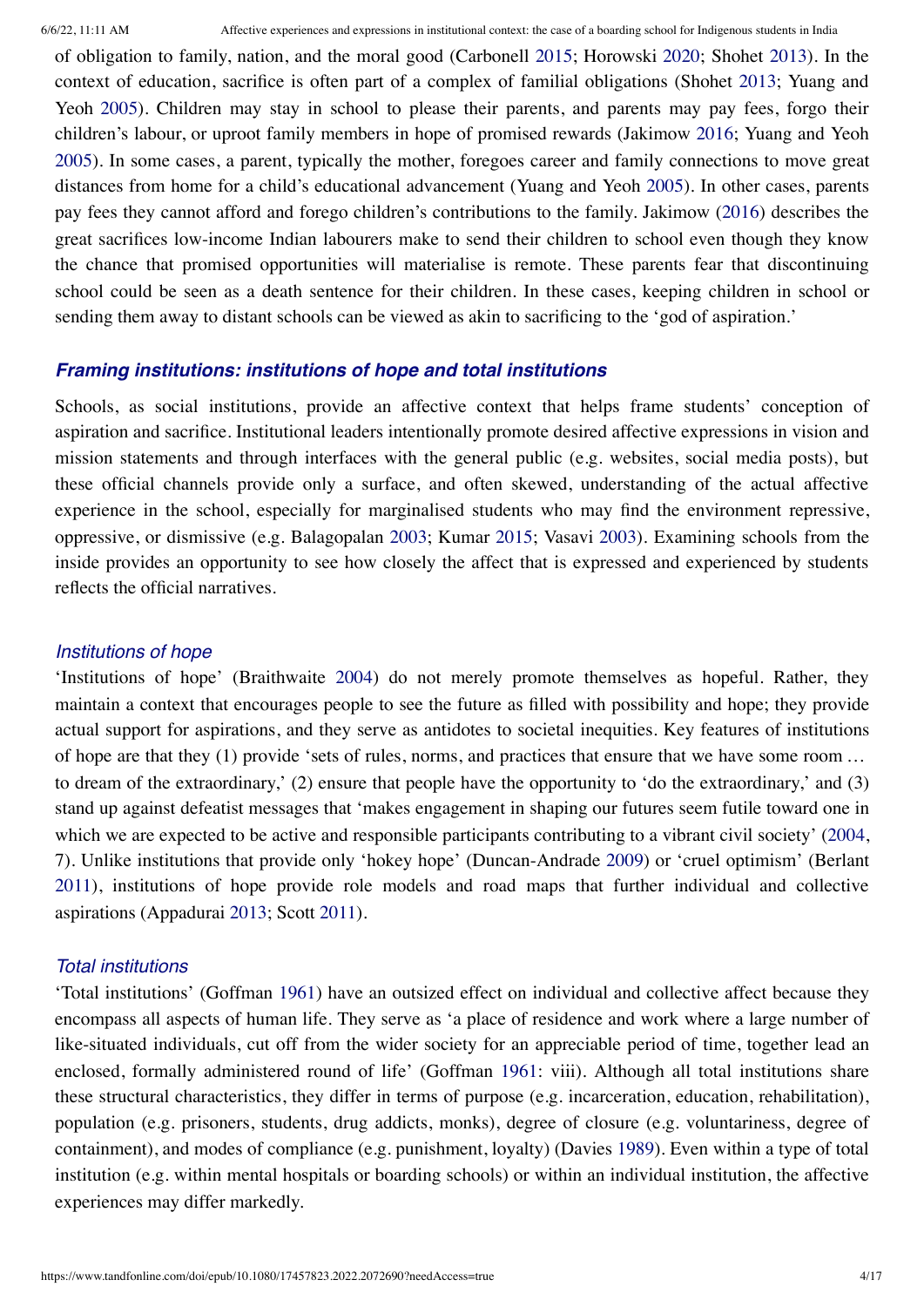of obligation to family, nation, and the moral good (Carbonell [2015](#page-15-16); Horowski [2020](#page-15-17); Shohet [2013](#page-16-7)). In the context of education, sacrifice is often part of a complex of familial obligations (Shohet [2013](#page-16-7); Yuang and Yeoh [2005\)](#page-16-8). Children may stay in school to please their parents, and parents may pay fees, forgo their children's labour, or uproot family members in hope of promised rewards (Jakimow [2016;](#page-15-15) Yuang and Yeoh [2005\)](#page-16-8). In some cases, a parent, typically the mother, foregoes career and family connections to move great distances from home for a child's educational advancement (Yuang and Yeoh [2005](#page-16-8)). In other cases, parents pay fees they cannot afford and forego children's contributions to the family. Jakimow [\(2016](#page-15-15)) describes the great sacrifices low-income Indian labourers make to send their children to school even though they know the chance that promised opportunities will materialise is remote. These parents fear that discontinuing school could be seen as a death sentence for their children. In these cases, keeping children in school or sending them away to distant schools can be viewed as akin to sacrificing to the 'god of aspiration.'

## *Framing institutions: institutions of hope and total institutions*

Schools, as social institutions, provide an affective context that helps frame students' conception of aspiration and sacrifice. Institutional leaders intentionally promote desired affective expressions in vision and mission statements and through interfaces with the general public (e.g. websites, social media posts), but these official channels provide only a surface, and often skewed, understanding of the actual affective experience in the school, especially for marginalised students who may find the environment repressive, oppressive, or dismissive (e.g. Balagopalan [2003](#page-15-11); Kumar [2015;](#page-15-12) Vasavi [2003](#page-16-5)). Examining schools from the inside provides an opportunity to see how closely the affect that is expressed and experienced by students reflects the official narratives.

#### *Institutions of hope*

'Institutions of hope' (Braithwaite [2004](#page-15-3)) do not merely promote themselves as hopeful. Rather, they maintain a context that encourages people to see the future as filled with possibility and hope; they provide actual support for aspirations, and they serve as antidotes to societal inequities. Key features of institutions of hope are that they (1) provide 'sets of rules, norms, and practices that ensure that we have some room … to dream of the extraordinary,' (2) ensure that people have the opportunity to 'do the extraordinary,' and (3) stand up against defeatist messages that 'makes engagement in shaping our futures seem futile toward one in which we are expected to be active and responsible participants contributing to a vibrant civil society' ([2004,](#page-15-3) 7). Unlike institutions that provide only 'hokey hope' (Duncan-Andrade [2009\)](#page-15-18) or 'cruel optimism' (Berlant [2011](#page-15-14)), institutions of hope provide role models and road maps that further individual and collective aspirations (Appadurai [2013](#page-15-8); Scott [2011\)](#page-16-9).

## *Total institutions*

'Total institutions' (Goffman [1961\)](#page-15-4) have an outsized effect on individual and collective affect because they encompass all aspects of human life. They serve as 'a place of residence and work where a large number of like-situated individuals, cut off from the wider society for an appreciable period of time, together lead an enclosed, formally administered round of life' (Goffman [1961:](#page-15-4) viii). Although all total institutions share these structural characteristics, they differ in terms of purpose (e.g. incarceration, education, rehabilitation), population (e.g. prisoners, students, drug addicts, monks), degree of closure (e.g. voluntariness, degree of containment), and modes of compliance (e.g. punishment, loyalty) (Davies [1989\)](#page-15-19). Even within a type of total institution (e.g. within mental hospitals or boarding schools) or within an individual institution, the affective experiences may differ markedly.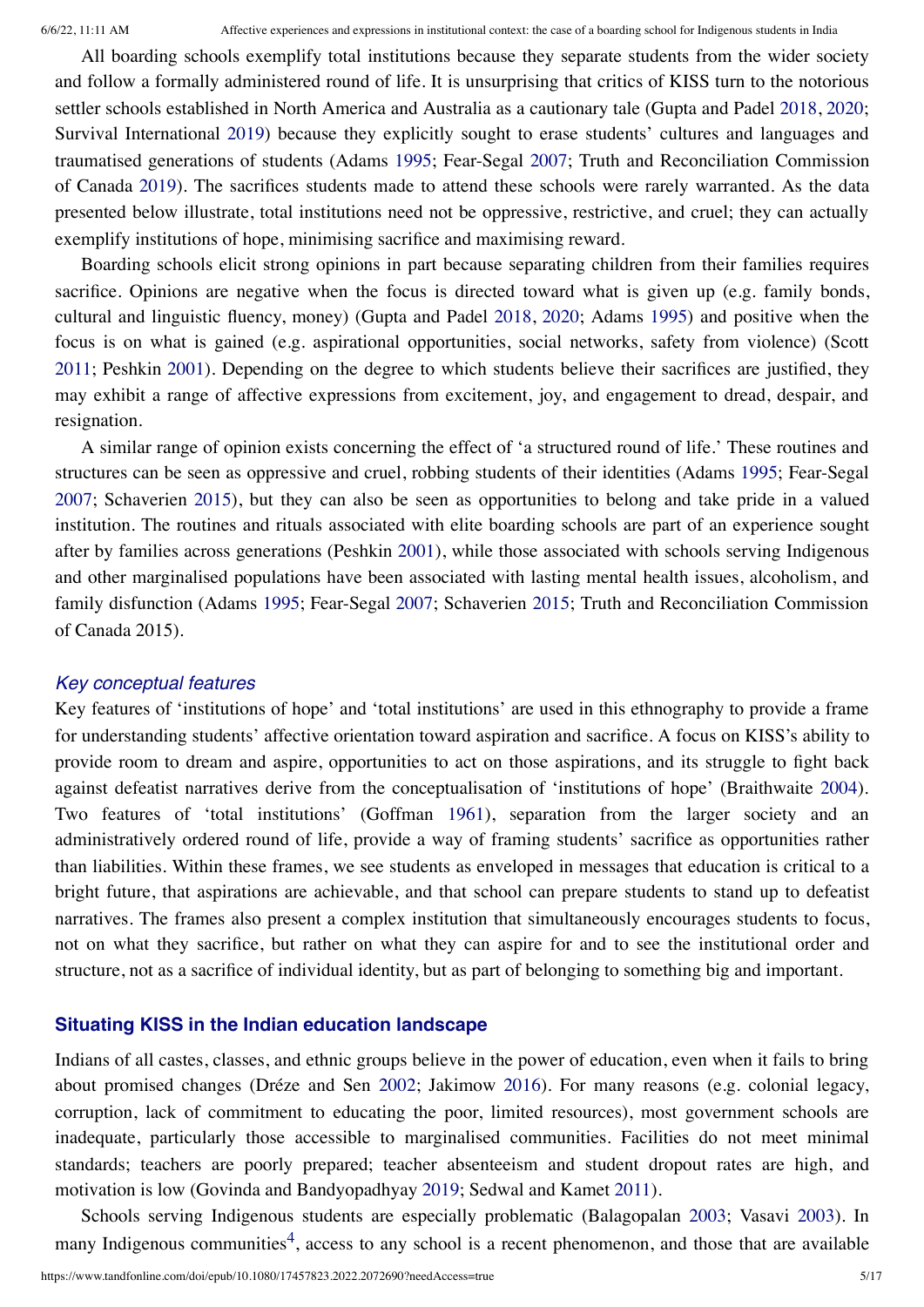All boarding schools exemplify total institutions because they separate students from the wider society and follow a formally administered round of life. It is unsurprising that critics of KISS turn to the notorious settler schools established in North America and Australia as a cautionary tale (Gupta and Padel [2018,](#page-15-0) [2020;](#page-15-1) Survival International [2019](#page-16-0)) because they explicitly sought to erase students' cultures and languages and traumatised generations of students (Adams [1995](#page-15-2); Fear-Segal [2007](#page-15-20); Truth and Reconciliation Commission of Canada [2019](#page-16-1)). The sacrifices students made to attend these schools were rarely warranted. As the data presented below illustrate, total institutions need not be oppressive, restrictive, and cruel; they can actually exemplify institutions of hope, minimising sacrifice and maximising reward.

Boarding schools elicit strong opinions in part because separating children from their families requires sacrifice. Opinions are negative when the focus is directed toward what is given up (e.g. family bonds, cultural and linguistic fluency, money) (Gupta and Padel [2018,](#page-15-0) [2020;](#page-15-1) Adams [1995\)](#page-15-2) and positive when the focus is on what is gained (e.g. aspirational opportunities, social networks, safety from violence) (Scott [2011](#page-16-9); Peshkin [2001\)](#page-16-10). Depending on the degree to which students believe their sacrifices are justified, they may exhibit a range of affective expressions from excitement, joy, and engagement to dread, despair, and resignation.

A similar range of opinion exists concerning the effect of 'a structured round of life.' These routines and structures can be seen as oppressive and cruel, robbing students of their identities (Adams [1995](#page-15-2); Fear-Segal [2007;](#page-15-20) Schaverien [2015\)](#page-16-11), but they can also be seen as opportunities to belong and take pride in a valued institution. The routines and rituals associated with elite boarding schools are part of an experience sought after by families across generations (Peshkin [2001\)](#page-16-10), while those associated with schools serving Indigenous and other marginalised populations have been associated with lasting mental health issues, alcoholism, and family disfunction (Adams [1995](#page-15-2); Fear-Segal [2007](#page-15-20); Schaverien [2015](#page-16-11); Truth and Reconciliation Commission of Canada 2015).

#### *Key conceptual features*

Key features of 'institutions of hope' and 'total institutions' are used in this ethnography to provide a frame for understanding students' affective orientation toward aspiration and sacrifice. A focus on KISS's ability to provide room to dream and aspire, opportunities to act on those aspirations, and its struggle to fight back against defeatist narratives derive from the conceptualisation of 'institutions of hope' (Braithwaite [2004\)](#page-15-3). Two features of 'total institutions' (Goffman [1961](#page-15-4)), separation from the larger society and an administratively ordered round of life, provide a way of framing students' sacrifice as opportunities rather than liabilities. Within these frames, we see students as enveloped in messages that education is critical to a bright future, that aspirations are achievable, and that school can prepare students to stand up to defeatist narratives. The frames also present a complex institution that simultaneously encourages students to focus, not on what they sacrifice, but rather on what they can aspire for and to see the institutional order and structure, not as a sacrifice of individual identity, but as part of belonging to something big and important.

### **Situating KISS in the Indian education landscape**

Indians of all castes, classes, and ethnic groups believe in the power of education, even when it fails to bring about promised changes (Dréze and Sen [2002](#page-15-21); Jakimow [2016](#page-15-15)). For many reasons (e.g. colonial legacy, corruption, lack of commitment to educating the poor, limited resources), most government schools are inadequate, particularly those accessible to marginalised communities. Facilities do not meet minimal standards; teachers are poorly prepared; teacher absenteeism and student dropout rates are high, and motivation is low (Govinda and Bandyopadhyay [2019](#page-15-22); Sedwal and Kamet [2011](#page-16-12)).

Schools serving Indigenous students are especially problematic (Balagopalan [2003](#page-15-11); Vasavi [2003](#page-16-5)). In many Indigenous communities<sup>[4](#page-14-1)</sup>, access to any school is a recent phenomenon, and those that are available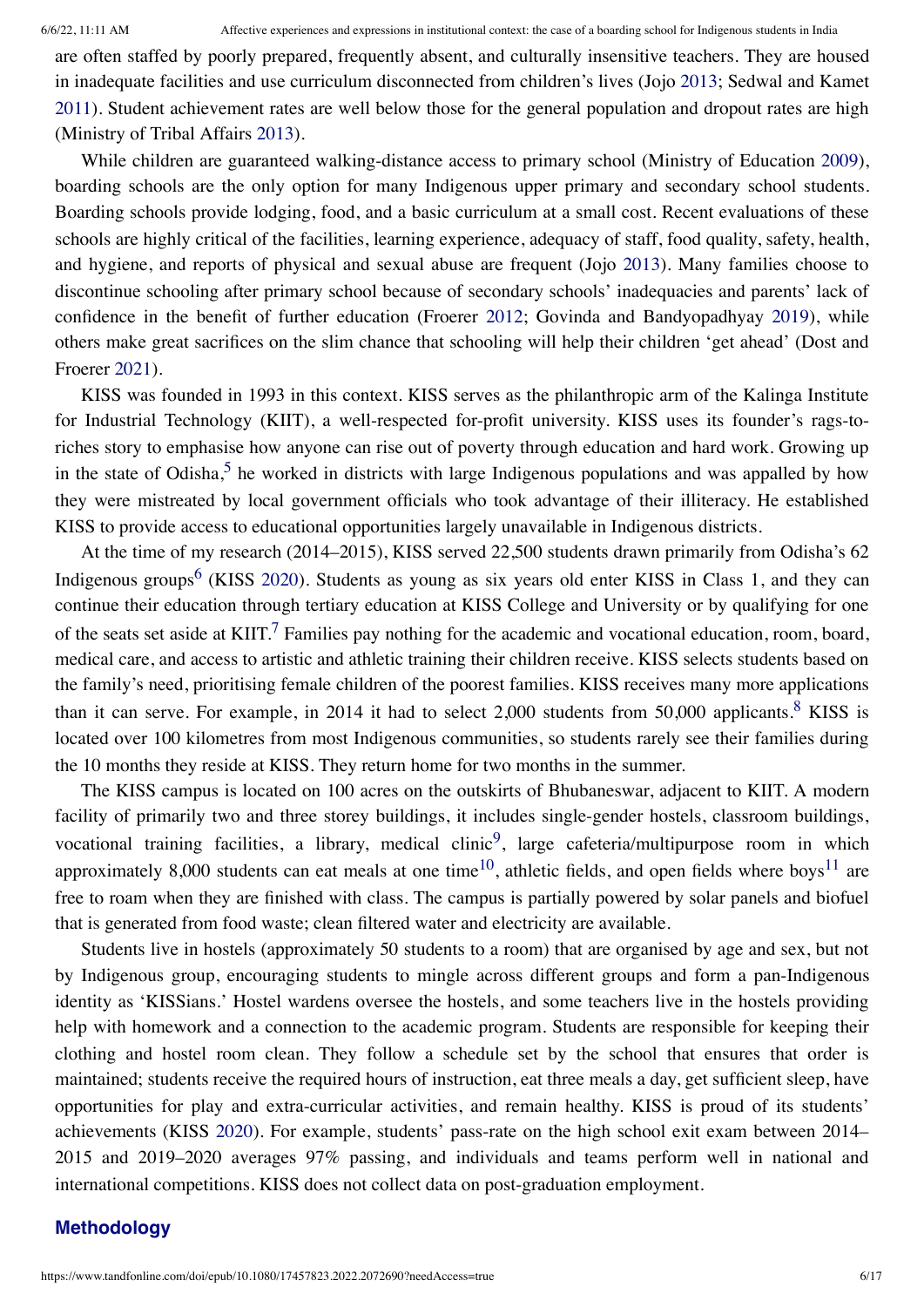are often staffed by poorly prepared, frequently absent, and culturally insensitive teachers. They are housed in inadequate facilities and use curriculum disconnected from children's lives (Jojo [2013](#page-15-23); Sedwal and Kamet [2011](#page-16-12)). Student achievement rates are well below those for the general population and dropout rates are high (Ministry of Tribal Affairs [2013](#page-16-13)).

While children are guaranteed walking-distance access to primary school (Ministry of Education [2009](#page-16-14)), boarding schools are the only option for many Indigenous upper primary and secondary school students. Boarding schools provide lodging, food, and a basic curriculum at a small cost. Recent evaluations of these schools are highly critical of the facilities, learning experience, adequacy of staff, food quality, safety, health, and hygiene, and reports of physical and sexual abuse are frequent (Jojo [2013](#page-15-23)). Many families choose to discontinue schooling after primary school because of secondary schools' inadequacies and parents' lack of confidence in the benefit of further education (Froerer [2012](#page-15-24); Govinda and Bandyopadhyay [2019\)](#page-15-22), while others make great sacrifices on the slim chance that schooling will help their children 'get ahead' (Dost and Froerer [2021\)](#page-15-9).

KISS was founded in 1993 in this context. KISS serves as the philanthropic arm of the Kalinga Institute for Industrial Technology (KIIT), a well-respected for-profit university. KISS uses its founder's rags-toriches story to emphasise how anyone can rise out of poverty through education and hard work. Growing up in the state of Odisha,<sup>[5](#page-14-2)</sup> he worked in districts with large Indigenous populations and was appalled by how they were mistreated by local government officials who took advantage of their illiteracy. He established KISS to provide access to educational opportunities largely unavailable in Indigenous districts.

At the time of my research (2014–2015), KISS served 22,500 students drawn primarily from Odisha's 62 Indigenous groups<sup>[6](#page-14-3)</sup> (KISS [2020](#page-15-25)). Students as young as six years old enter KISS in Class 1, and they can continue their education through tertiary education at KISS College and University or by qualifying for one of the seats set aside at KIIT.<sup>[7](#page-14-4)</sup> Families pay nothing for the academic and vocational education, room, board, medical care, and access to artistic and athletic training their children receive. KISS selects students based on the family's need, prioritising female children of the poorest families. KISS receives many more applications than it can serve. For example, in 2014 it had to select 2,000 students from 50,000 applicants.<sup>[8](#page-14-5)</sup> KISS is located over 100 kilometres from most Indigenous communities, so students rarely see their families during the 10 months they reside at KISS. They return home for two months in the summer.

The KISS campus is located on 100 acres on the outskirts of Bhubaneswar, adjacent to KIIT. A modern facility of primarily two and three storey buildings, it includes single-gender hostels, classroom buildings, vocational training facilities, a library, medical clinic<sup>[9](#page-14-6)</sup>, large cafeteria/multipurpose room in which approximately 8,000 students can eat meals at one time<sup>[10](#page-14-7)</sup>, athletic fields, and open fields where boys<sup>[11](#page-14-8)</sup> are free to roam when they are finished with class. The campus is partially powered by solar panels and biofuel that is generated from food waste; clean filtered water and electricity are available.

Students live in hostels (approximately 50 students to a room) that are organised by age and sex, but not by Indigenous group, encouraging students to mingle across different groups and form a pan-Indigenous identity as 'KISSians.' Hostel wardens oversee the hostels, and some teachers live in the hostels providing help with homework and a connection to the academic program. Students are responsible for keeping their clothing and hostel room clean. They follow a schedule set by the school that ensures that order is maintained; students receive the required hours of instruction, eat three meals a day, get sufficient sleep, have opportunities for play and extra-curricular activities, and remain healthy. KISS is proud of its students' achievements (KISS [2020](#page-15-25)). For example, students' pass-rate on the high school exit exam between 2014– 2015 and 2019–2020 averages 97% passing, and individuals and teams perform well in national and international competitions. KISS does not collect data on post-graduation employment.

### **Methodology**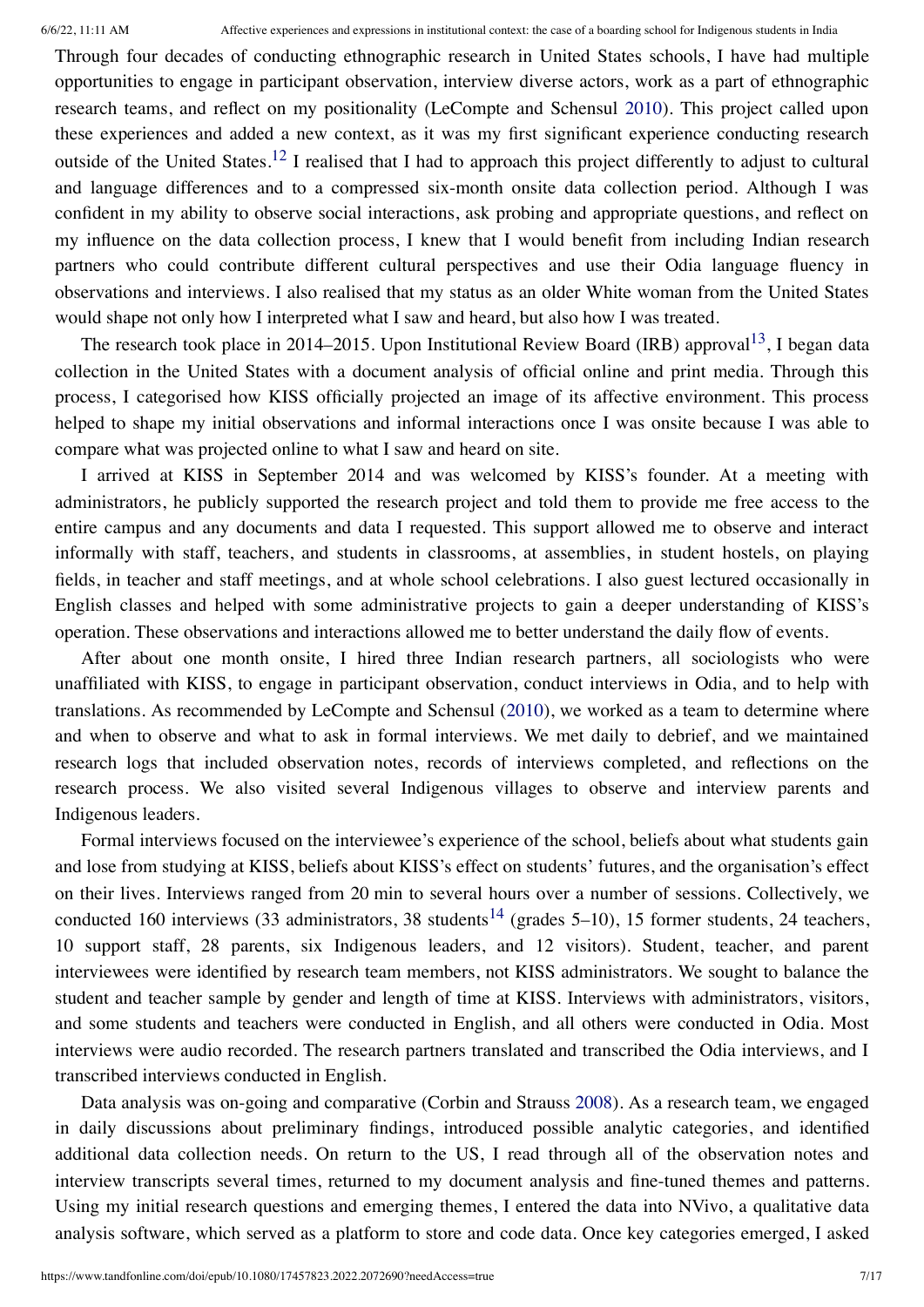Through four decades of conducting ethnographic research in United States schools, I have had multiple opportunities to engage in participant observation, interview diverse actors, work as a part of ethnographic research teams, and reflect on my positionality (LeCompte and Schensul [2010\)](#page-16-15). This project called upon these experiences and added a new context, as it was my first significant experience conducting research outside of the United States.<sup>[12](#page-14-9)</sup> I realised that I had to approach this project differently to adjust to cultural and language differences and to a compressed six-month onsite data collection period. Although I was confident in my ability to observe social interactions, ask probing and appropriate questions, and reflect on my influence on the data collection process, I knew that I would benefit from including Indian research partners who could contribute different cultural perspectives and use their Odia language fluency in observations and interviews. I also realised that my status as an older White woman from the United States would shape not only how I interpreted what I saw and heard, but also how I was treated.

The research took place in 2014–2015. Upon Institutional Review Board (IRB) approval<sup>[13](#page-14-10)</sup>, I began data collection in the United States with a document analysis of official online and print media. Through this process, I categorised how KISS officially projected an image of its affective environment. This process helped to shape my initial observations and informal interactions once I was onsite because I was able to compare what was projected online to what I saw and heard on site.

I arrived at KISS in September 2014 and was welcomed by KISS's founder. At a meeting with administrators, he publicly supported the research project and told them to provide me free access to the entire campus and any documents and data I requested. This support allowed me to observe and interact informally with staff, teachers, and students in classrooms, at assemblies, in student hostels, on playing fields, in teacher and staff meetings, and at whole school celebrations. I also guest lectured occasionally in English classes and helped with some administrative projects to gain a deeper understanding of KISS's operation. These observations and interactions allowed me to better understand the daily flow of events.

After about one month onsite, I hired three Indian research partners, all sociologists who were unaffiliated with KISS, to engage in participant observation, conduct interviews in Odia, and to help with translations. As recommended by LeCompte and Schensul [\(2010](#page-16-15)), we worked as a team to determine where and when to observe and what to ask in formal interviews. We met daily to debrief, and we maintained research logs that included observation notes, records of interviews completed, and reflections on the research process. We also visited several Indigenous villages to observe and interview parents and Indigenous leaders.

Formal interviews focused on the interviewee's experience of the school, beliefs about what students gain and lose from studying at KISS, beliefs about KISS's effect on students' futures, and the organisation's effect on their lives. Interviews ranged from 20 min to several hours over a number of sessions. Collectively, we conducted 160 interviews (33 administrators, 38 students<sup>[14](#page-14-11)</sup> (grades 5–10), 15 former students, 24 teachers, 10 support staff, 28 parents, six Indigenous leaders, and 12 visitors). Student, teacher, and parent interviewees were identified by research team members, not KISS administrators. We sought to balance the student and teacher sample by gender and length of time at KISS. Interviews with administrators, visitors, and some students and teachers were conducted in English, and all others were conducted in Odia. Most interviews were audio recorded. The research partners translated and transcribed the Odia interviews, and I transcribed interviews conducted in English.

Data analysis was on-going and comparative (Corbin and Strauss [2008\)](#page-15-26). As a research team, we engaged in daily discussions about preliminary findings, introduced possible analytic categories, and identified additional data collection needs. On return to the US, I read through all of the observation notes and interview transcripts several times, returned to my document analysis and fine-tuned themes and patterns. Using my initial research questions and emerging themes, I entered the data into NVivo, a qualitative data analysis software, which served as a platform to store and code data. Once key categories emerged, I asked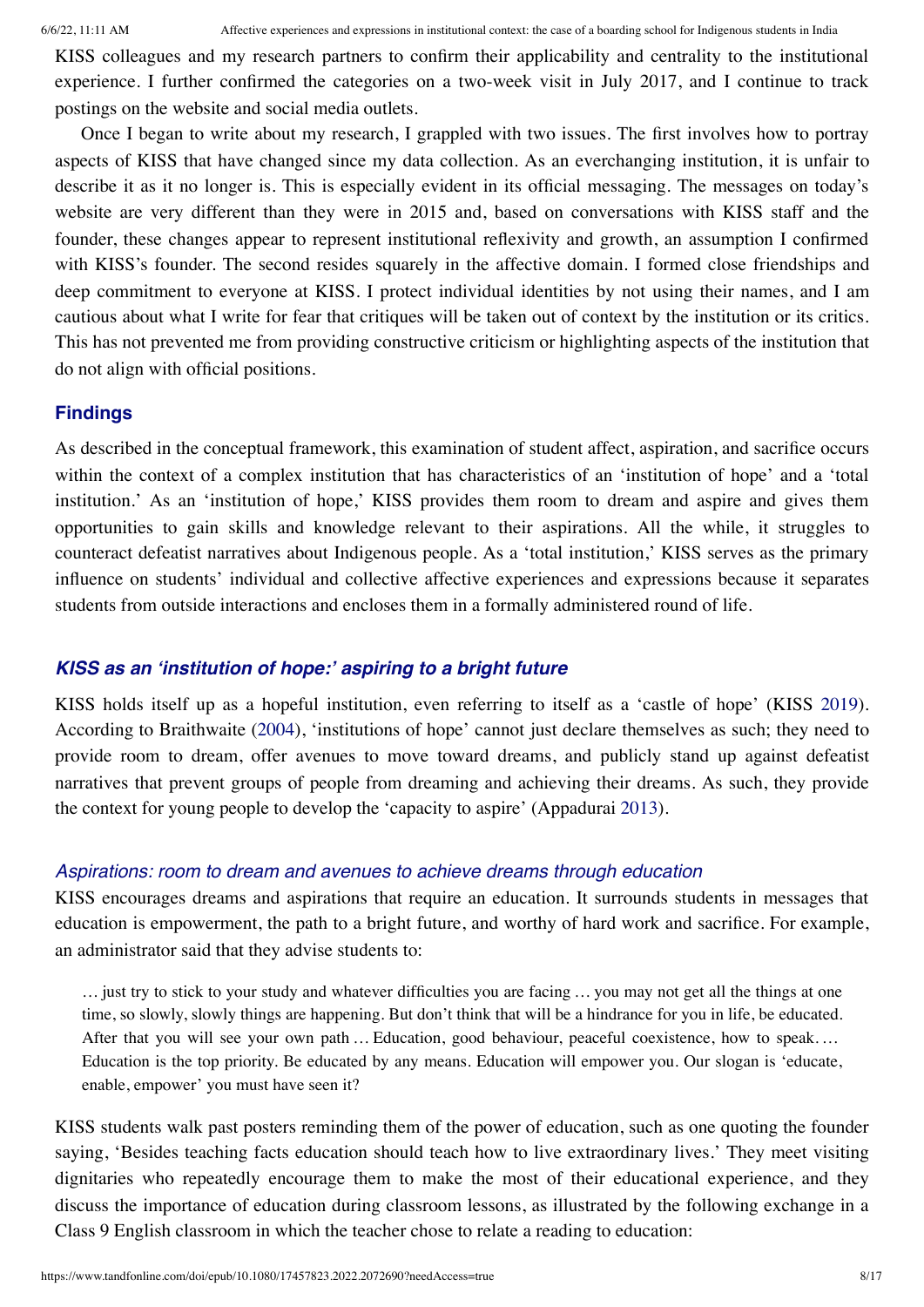KISS colleagues and my research partners to confirm their applicability and centrality to the institutional experience. I further confirmed the categories on a two-week visit in July 2017, and I continue to track postings on the website and social media outlets.

Once I began to write about my research, I grappled with two issues. The first involves how to portray aspects of KISS that have changed since my data collection. As an everchanging institution, it is unfair to describe it as it no longer is. This is especially evident in its official messaging. The messages on today's website are very different than they were in 2015 and, based on conversations with KISS staff and the founder, these changes appear to represent institutional reflexivity and growth, an assumption I confirmed with KISS's founder. The second resides squarely in the affective domain. I formed close friendships and deep commitment to everyone at KISS. I protect individual identities by not using their names, and I am cautious about what I write for fear that critiques will be taken out of context by the institution or its critics. This has not prevented me from providing constructive criticism or highlighting aspects of the institution that do not align with official positions.

#### **Findings**

As described in the conceptual framework, this examination of student affect, aspiration, and sacrifice occurs within the context of a complex institution that has characteristics of an 'institution of hope' and a 'total institution.' As an 'institution of hope,' KISS provides them room to dream and aspire and gives them opportunities to gain skills and knowledge relevant to their aspirations. All the while, it struggles to counteract defeatist narratives about Indigenous people. As a 'total institution,' KISS serves as the primary influence on students' individual and collective affective experiences and expressions because it separates students from outside interactions and encloses them in a formally administered round of life.

# *KISS as an 'institution of hope:' aspiring to a bright future*

KISS holds itself up as a hopeful institution, even referring to itself as a 'castle of hope' (KISS [2019](#page-15-10)). According to Braithwaite ([2004\)](#page-15-3), 'institutions of hope' cannot just declare themselves as such; they need to provide room to dream, offer avenues to move toward dreams, and publicly stand up against defeatist narratives that prevent groups of people from dreaming and achieving their dreams. As such, they provide the context for young people to develop the 'capacity to aspire' (Appadurai [2013](#page-15-8)).

#### *Aspirations: room to dream and avenues to achieve dreams through education*

KISS encourages dreams and aspirations that require an education. It surrounds students in messages that education is empowerment, the path to a bright future, and worthy of hard work and sacrifice. For example, an administrator said that they advise students to:

… just try to stick to your study and whatever difficulties you are facing … you may not get all the things at one time, so slowly, slowly things are happening. But don't think that will be a hindrance for you in life, be educated. After that you will see your own path … Education, good behaviour, peaceful coexistence, how to speak.... Education is the top priority. Be educated by any means. Education will empower you. Our slogan is 'educate, enable, empower' you must have seen it?

KISS students walk past posters reminding them of the power of education, such as one quoting the founder saying, 'Besides teaching facts education should teach how to live extraordinary lives.' They meet visiting dignitaries who repeatedly encourage them to make the most of their educational experience, and they discuss the importance of education during classroom lessons, as illustrated by the following exchange in a Class 9 English classroom in which the teacher chose to relate a reading to education: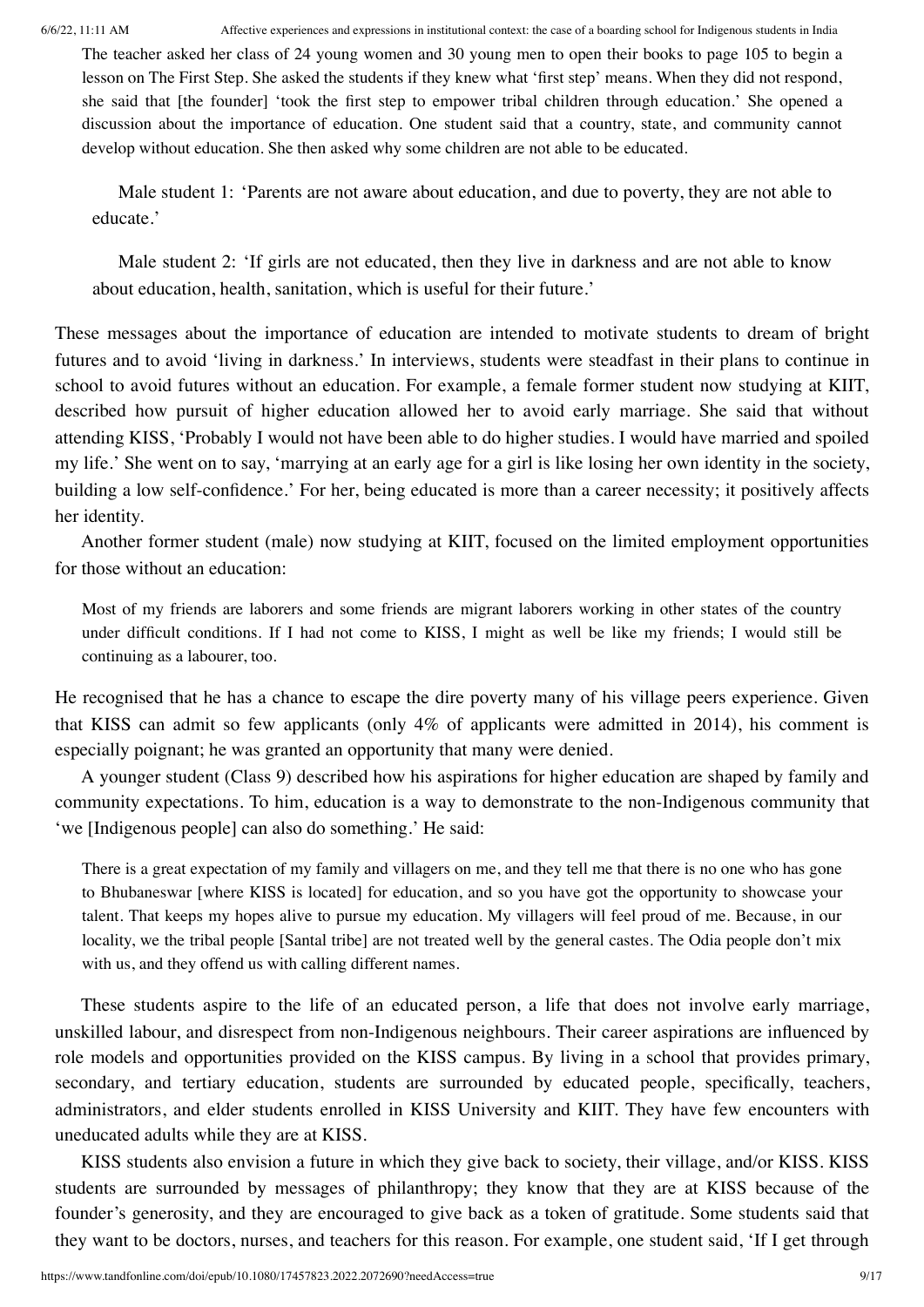The teacher asked her class of 24 young women and 30 young men to open their books to page 105 to begin a lesson on The First Step. She asked the students if they knew what 'first step' means. When they did not respond, she said that [the founder] 'took the first step to empower tribal children through education.' She opened a discussion about the importance of education. One student said that a country, state, and community cannot develop without education. She then asked why some children are not able to be educated.

Male student 1: 'Parents are not aware about education, and due to poverty, they are not able to educate.'

Male student 2: 'If girls are not educated, then they live in darkness and are not able to know about education, health, sanitation, which is useful for their future.'

These messages about the importance of education are intended to motivate students to dream of bright futures and to avoid 'living in darkness.' In interviews, students were steadfast in their plans to continue in school to avoid futures without an education. For example, a female former student now studying at KIIT, described how pursuit of higher education allowed her to avoid early marriage. She said that without attending KISS, 'Probably I would not have been able to do higher studies. I would have married and spoiled my life.' She went on to say, 'marrying at an early age for a girl is like losing her own identity in the society, building a low self-confidence.' For her, being educated is more than a career necessity; it positively affects her identity.

Another former student (male) now studying at KIIT, focused on the limited employment opportunities for those without an education:

Most of my friends are laborers and some friends are migrant laborers working in other states of the country under difficult conditions. If I had not come to KISS, I might as well be like my friends; I would still be continuing as a labourer, too.

He recognised that he has a chance to escape the dire poverty many of his village peers experience. Given that KISS can admit so few applicants (only 4% of applicants were admitted in 2014), his comment is especially poignant; he was granted an opportunity that many were denied.

A younger student (Class 9) described how his aspirations for higher education are shaped by family and community expectations. To him, education is a way to demonstrate to the non-Indigenous community that 'we [Indigenous people] can also do something.' He said:

There is a great expectation of my family and villagers on me, and they tell me that there is no one who has gone to Bhubaneswar [where KISS is located] for education, and so you have got the opportunity to showcase your talent. That keeps my hopes alive to pursue my education. My villagers will feel proud of me. Because, in our locality, we the tribal people [Santal tribe] are not treated well by the general castes. The Odia people don't mix with us, and they offend us with calling different names.

These students aspire to the life of an educated person, a life that does not involve early marriage, unskilled labour, and disrespect from non-Indigenous neighbours. Their career aspirations are influenced by role models and opportunities provided on the KISS campus. By living in a school that provides primary, secondary, and tertiary education, students are surrounded by educated people, specifically, teachers, administrators, and elder students enrolled in KISS University and KIIT. They have few encounters with uneducated adults while they are at KISS.

KISS students also envision a future in which they give back to society, their village, and/or KISS. KISS students are surrounded by messages of philanthropy; they know that they are at KISS because of the founder's generosity, and they are encouraged to give back as a token of gratitude. Some students said that they want to be doctors, nurses, and teachers for this reason. For example, one student said, 'If I get through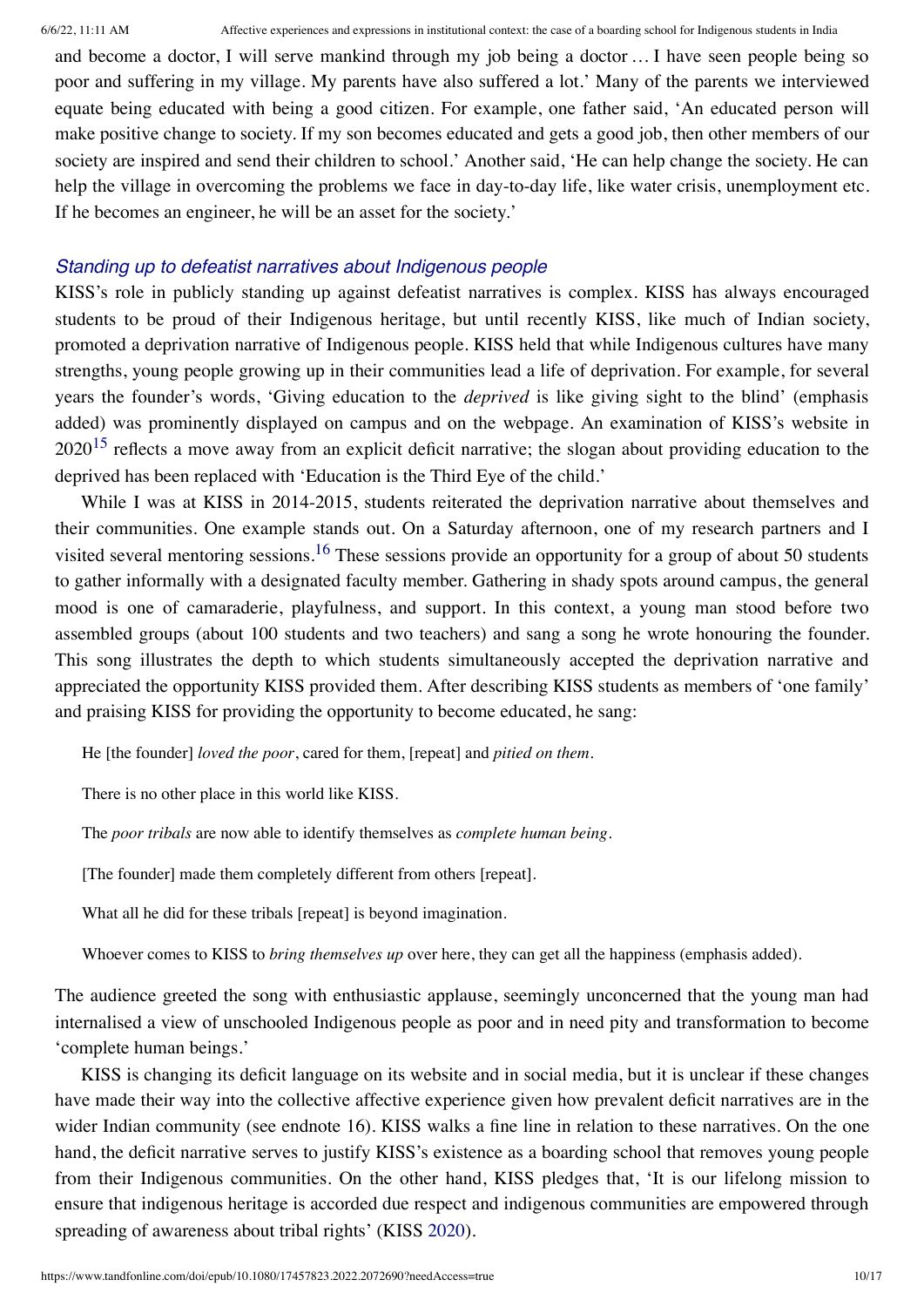and become a doctor, I will serve mankind through my job being a doctor … I have seen people being so poor and suffering in my village. My parents have also suffered a lot.' Many of the parents we interviewed equate being educated with being a good citizen. For example, one father said, 'An educated person will make positive change to society. If my son becomes educated and gets a good job, then other members of our society are inspired and send their children to school.' Another said, 'He can help change the society. He can help the village in overcoming the problems we face in day-to-day life, like water crisis, unemployment etc. If he becomes an engineer, he will be an asset for the society.'

# *Standing up to defeatist narratives about Indigenous people*

KISS's role in publicly standing up against defeatist narratives is complex. KISS has always encouraged students to be proud of their Indigenous heritage, but until recently KISS, like much of Indian society, promoted a deprivation narrative of Indigenous people. KISS held that while Indigenous cultures have many strengths, young people growing up in their communities lead a life of deprivation. For example, for several years the founder's words, 'Giving education to the *deprived* is like giving sight to the blind' (emphasis added) was prominently displayed on campus and on the webpage. An examination of KISS's website in  $2020^{15}$  $2020^{15}$  $2020^{15}$  reflects a move away from an explicit deficit narrative; the slogan about providing education to the deprived has been replaced with 'Education is the Third Eye of the child.'

While I was at KISS in 2014-2015, students reiterated the deprivation narrative about themselves and their communities. One example stands out. On a Saturday afternoon, one of my research partners and I visited several mentoring sessions.<sup>[16](#page-14-13)</sup> These sessions provide an opportunity for a group of about 50 students to gather informally with a designated faculty member. Gathering in shady spots around campus, the general mood is one of camaraderie, playfulness, and support. In this context, a young man stood before two assembled groups (about 100 students and two teachers) and sang a song he wrote honouring the founder. This song illustrates the depth to which students simultaneously accepted the deprivation narrative and appreciated the opportunity KISS provided them. After describing KISS students as members of 'one family' and praising KISS for providing the opportunity to become educated, he sang:

He [the founder] *loved the poor*, cared for them, [repeat] and *pitied on them*.

There is no other place in this world like KISS.

The *poor tribals* are now able to identify themselves as *complete human being*.

[The founder] made them completely different from others [repeat].

What all he did for these tribals [repeat] is beyond imagination.

Whoever comes to KISS to *bring themselves up* over here, they can get all the happiness (emphasis added).

The audience greeted the song with enthusiastic applause, seemingly unconcerned that the young man had internalised a view of unschooled Indigenous people as poor and in need pity and transformation to become 'complete human beings.'

KISS is changing its deficit language on its website and in social media, but it is unclear if these changes have made their way into the collective affective experience given how prevalent deficit narratives are in the wider Indian community (see endnote 16). KISS walks a fine line in relation to these narratives. On the one hand, the deficit narrative serves to justify KISS's existence as a boarding school that removes young people from their Indigenous communities. On the other hand, KISS pledges that, 'It is our lifelong mission to ensure that indigenous heritage is accorded due respect and indigenous communities are empowered through spreading of awareness about tribal rights' (KISS [2020](#page-15-25)).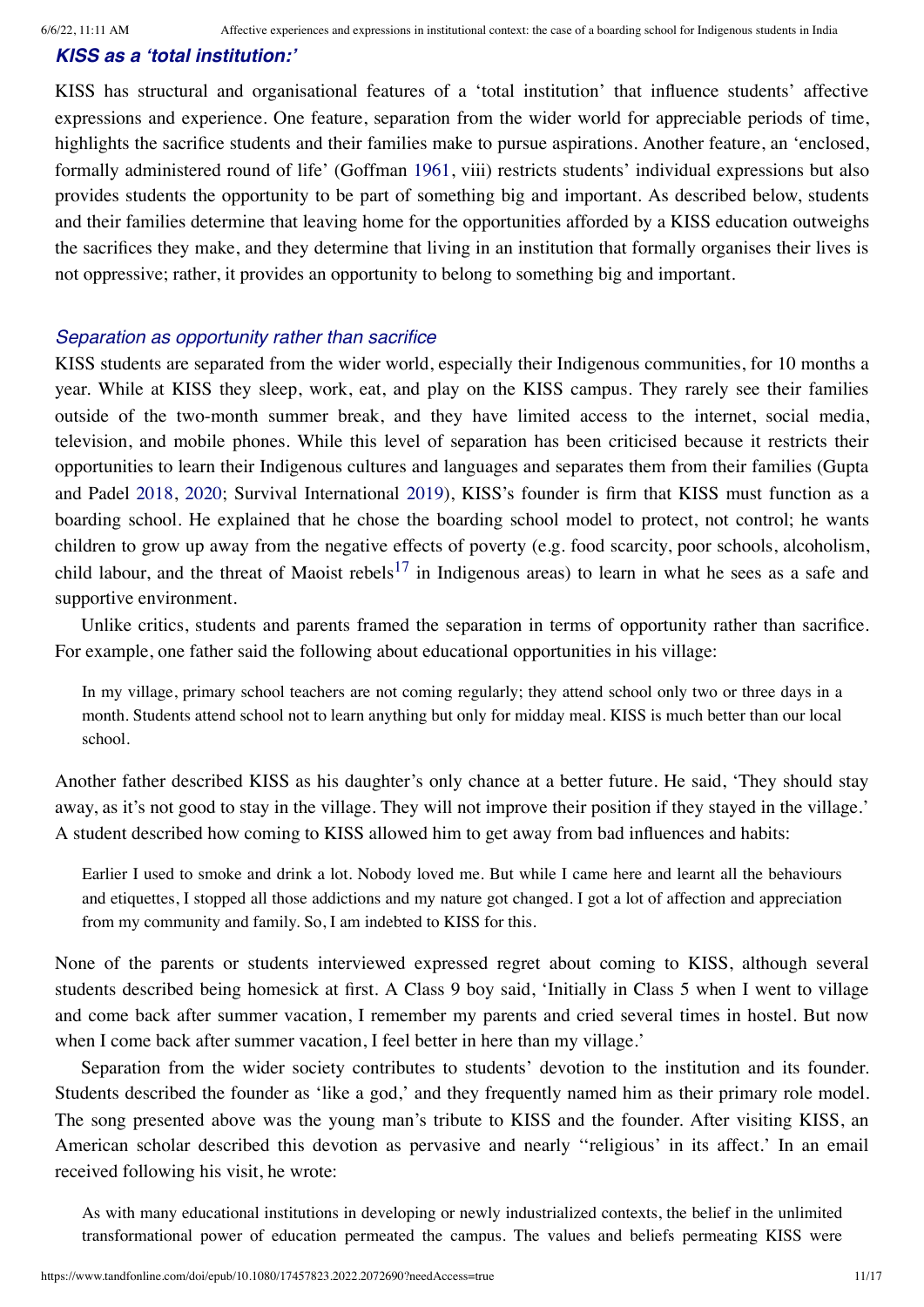# *KISS as a 'total institution:'*

KISS has structural and organisational features of a 'total institution' that influence students' affective expressions and experience. One feature, separation from the wider world for appreciable periods of time, highlights the sacrifice students and their families make to pursue aspirations. Another feature, an 'enclosed, formally administered round of life' (Goffman [1961](#page-15-4), viii) restricts students' individual expressions but also provides students the opportunity to be part of something big and important. As described below, students and their families determine that leaving home for the opportunities afforded by a KISS education outweighs the sacrifices they make, and they determine that living in an institution that formally organises their lives is not oppressive; rather, it provides an opportunity to belong to something big and important.

# *Separation as opportunity rather than sacrifice*

KISS students are separated from the wider world, especially their Indigenous communities, for 10 months a year. While at KISS they sleep, work, eat, and play on the KISS campus. They rarely see their families outside of the two-month summer break, and they have limited access to the internet, social media, television, and mobile phones. While this level of separation has been criticised because it restricts their opportunities to learn their Indigenous cultures and languages and separates them from their families (Gupta and Padel [2018,](#page-15-0) [2020;](#page-15-1) Survival International [2019](#page-16-0)), KISS's founder is firm that KISS must function as a boarding school. He explained that he chose the boarding school model to protect, not control; he wants children to grow up away from the negative effects of poverty (e.g. food scarcity, poor schools, alcoholism, child labour, and the threat of Maoist rebels<sup>[17](#page-14-14)</sup> in Indigenous areas) to learn in what he sees as a safe and supportive environment.

Unlike critics, students and parents framed the separation in terms of opportunity rather than sacrifice. For example, one father said the following about educational opportunities in his village:

In my village, primary school teachers are not coming regularly; they attend school only two or three days in a month. Students attend school not to learn anything but only for midday meal. KISS is much better than our local school.

Another father described KISS as his daughter's only chance at a better future. He said, 'They should stay away, as it's not good to stay in the village. They will not improve their position if they stayed in the village.' A student described how coming to KISS allowed him to get away from bad influences and habits:

Earlier I used to smoke and drink a lot. Nobody loved me. But while I came here and learnt all the behaviours and etiquettes, I stopped all those addictions and my nature got changed. I got a lot of affection and appreciation from my community and family. So, I am indebted to KISS for this.

None of the parents or students interviewed expressed regret about coming to KISS, although several students described being homesick at first. A Class 9 boy said, 'Initially in Class 5 when I went to village and come back after summer vacation, I remember my parents and cried several times in hostel. But now when I come back after summer vacation, I feel better in here than my village.'

Separation from the wider society contributes to students' devotion to the institution and its founder. Students described the founder as 'like a god,' and they frequently named him as their primary role model. The song presented above was the young man's tribute to KISS and the founder. After visiting KISS, an American scholar described this devotion as pervasive and nearly ''religious' in its affect.' In an email received following his visit, he wrote:

As with many educational institutions in developing or newly industrialized contexts, the belief in the unlimited transformational power of education permeated the campus. The values and beliefs permeating KISS were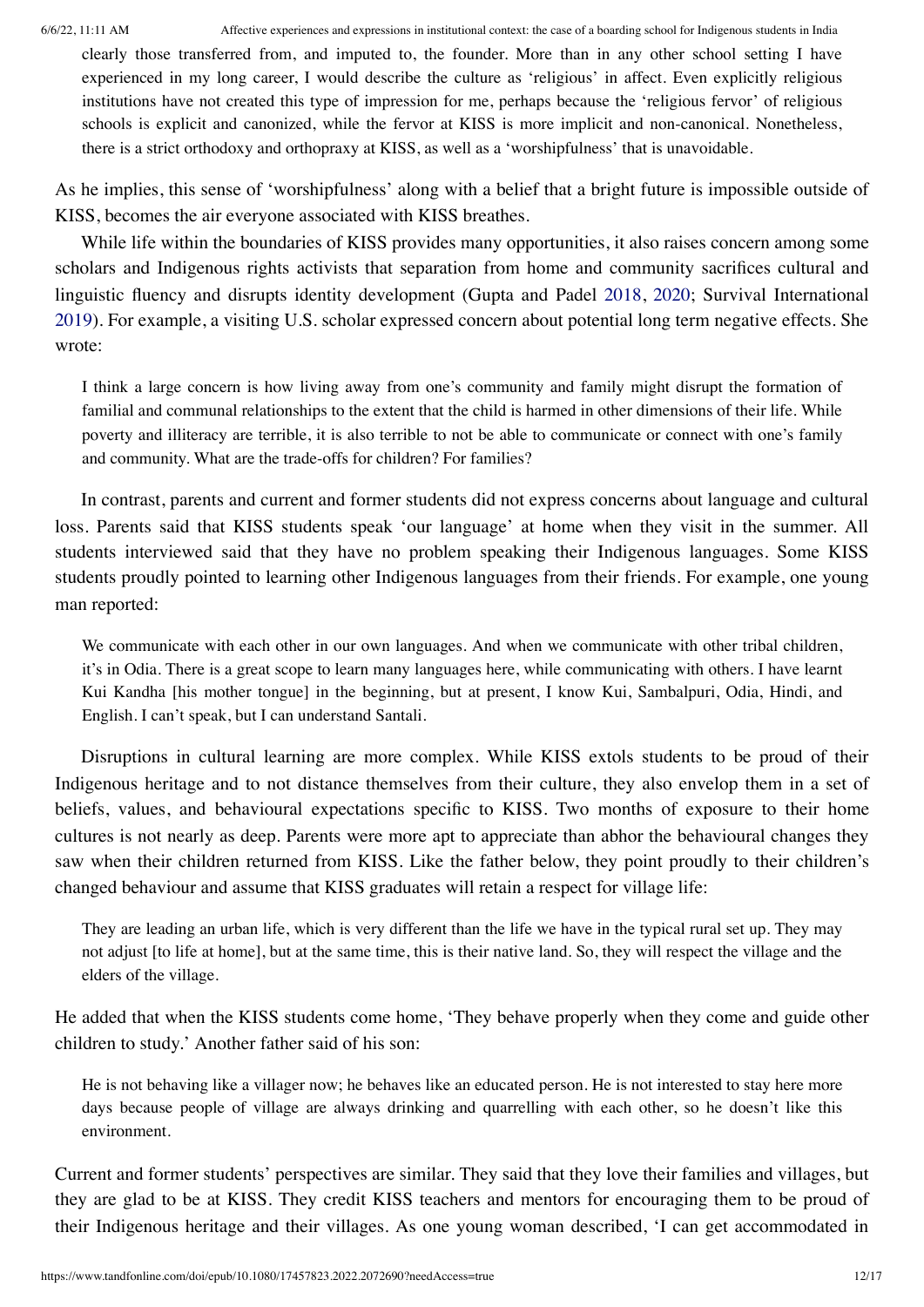clearly those transferred from, and imputed to, the founder. More than in any other school setting I have experienced in my long career, I would describe the culture as 'religious' in affect. Even explicitly religious institutions have not created this type of impression for me, perhaps because the 'religious fervor' of religious schools is explicit and canonized, while the fervor at KISS is more implicit and non-canonical. Nonetheless, there is a strict orthodoxy and orthopraxy at KISS, as well as a 'worshipfulness' that is unavoidable.

As he implies, this sense of 'worshipfulness' along with a belief that a bright future is impossible outside of KISS, becomes the air everyone associated with KISS breathes.

While life within the boundaries of KISS provides many opportunities, it also raises concern among some scholars and Indigenous rights activists that separation from home and community sacrifices cultural and linguistic fluency and disrupts identity development (Gupta and Padel [2018](#page-15-0), [2020](#page-15-1); Survival International [2019\)](#page-16-0). For example, a visiting U.S. scholar expressed concern about potential long term negative effects. She wrote:

I think a large concern is how living away from one's community and family might disrupt the formation of familial and communal relationships to the extent that the child is harmed in other dimensions of their life. While poverty and illiteracy are terrible, it is also terrible to not be able to communicate or connect with one's family and community. What are the trade-offs for children? For families?

In contrast, parents and current and former students did not express concerns about language and cultural loss. Parents said that KISS students speak 'our language' at home when they visit in the summer. All students interviewed said that they have no problem speaking their Indigenous languages. Some KISS students proudly pointed to learning other Indigenous languages from their friends. For example, one young man reported:

We communicate with each other in our own languages. And when we communicate with other tribal children, it's in Odia. There is a great scope to learn many languages here, while communicating with others. I have learnt Kui Kandha [his mother tongue] in the beginning, but at present, I know Kui, Sambalpuri, Odia, Hindi, and English. I can't speak, but I can understand Santali.

Disruptions in cultural learning are more complex. While KISS extols students to be proud of their Indigenous heritage and to not distance themselves from their culture, they also envelop them in a set of beliefs, values, and behavioural expectations specific to KISS. Two months of exposure to their home cultures is not nearly as deep. Parents were more apt to appreciate than abhor the behavioural changes they saw when their children returned from KISS. Like the father below, they point proudly to their children's changed behaviour and assume that KISS graduates will retain a respect for village life:

They are leading an urban life, which is very different than the life we have in the typical rural set up. They may not adjust [to life at home], but at the same time, this is their native land. So, they will respect the village and the elders of the village.

He added that when the KISS students come home, 'They behave properly when they come and guide other children to study.' Another father said of his son:

He is not behaving like a villager now; he behaves like an educated person. He is not interested to stay here more days because people of village are always drinking and quarrelling with each other, so he doesn't like this environment.

Current and former students' perspectives are similar. They said that they love their families and villages, but they are glad to be at KISS. They credit KISS teachers and mentors for encouraging them to be proud of their Indigenous heritage and their villages. As one young woman described, 'I can get accommodated in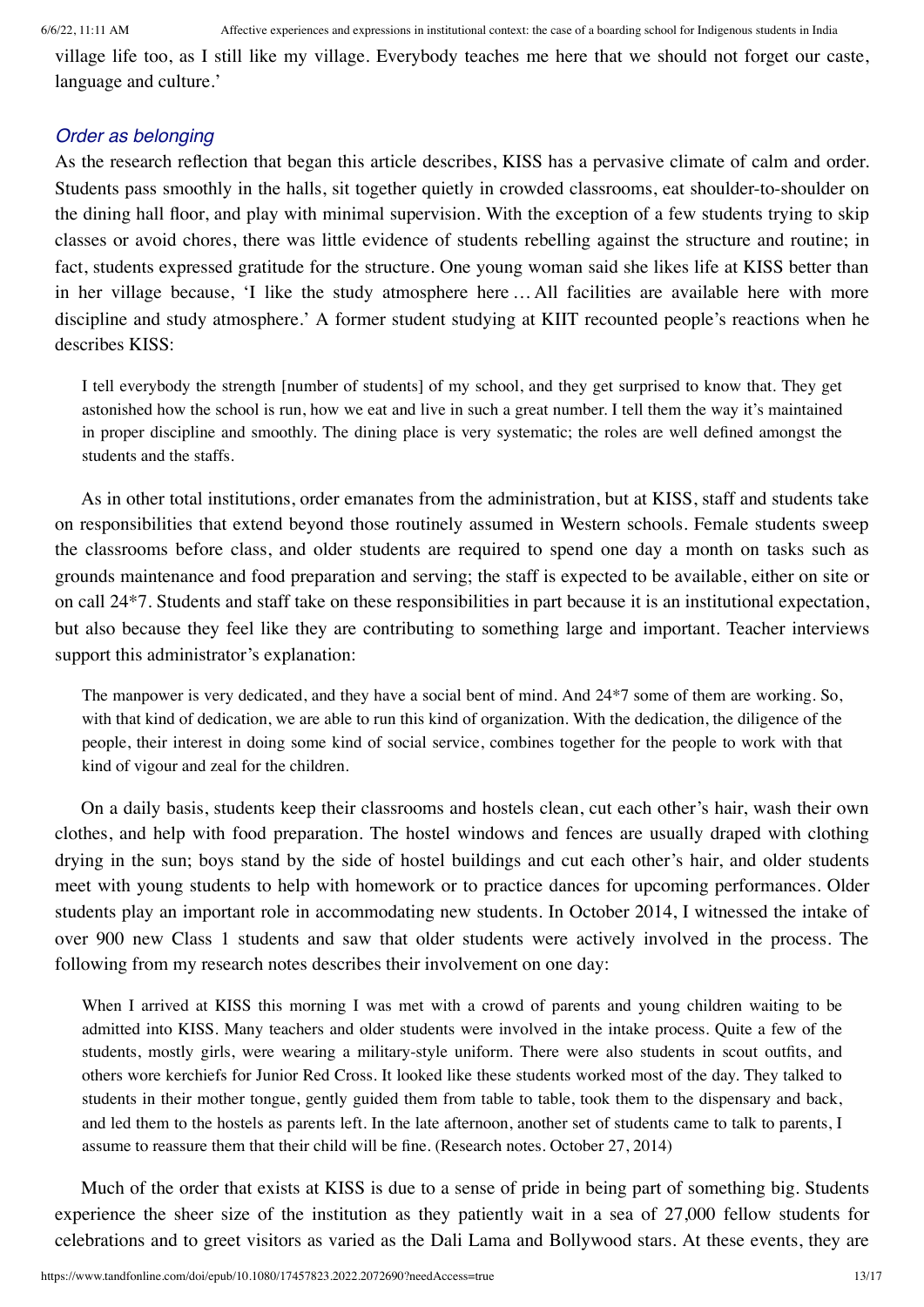village life too, as I still like my village. Everybody teaches me here that we should not forget our caste, language and culture.'

## *Order as belonging*

As the research reflection that began this article describes, KISS has a pervasive climate of calm and order. Students pass smoothly in the halls, sit together quietly in crowded classrooms, eat shoulder-to-shoulder on the dining hall floor, and play with minimal supervision. With the exception of a few students trying to skip classes or avoid chores, there was little evidence of students rebelling against the structure and routine; in fact, students expressed gratitude for the structure. One young woman said she likes life at KISS better than in her village because, 'I like the study atmosphere here …All facilities are available here with more discipline and study atmosphere.' A former student studying at KIIT recounted people's reactions when he describes KISS:

I tell everybody the strength [number of students] of my school, and they get surprised to know that. They get astonished how the school is run, how we eat and live in such a great number. I tell them the way it's maintained in proper discipline and smoothly. The dining place is very systematic; the roles are well defined amongst the students and the staffs.

As in other total institutions, order emanates from the administration, but at KISS, staff and students take on responsibilities that extend beyond those routinely assumed in Western schools. Female students sweep the classrooms before class, and older students are required to spend one day a month on tasks such as grounds maintenance and food preparation and serving; the staff is expected to be available, either on site or on call 24\*7. Students and staff take on these responsibilities in part because it is an institutional expectation, but also because they feel like they are contributing to something large and important. Teacher interviews support this administrator's explanation:

The manpower is very dedicated, and they have a social bent of mind. And 24\*7 some of them are working. So, with that kind of dedication, we are able to run this kind of organization. With the dedication, the diligence of the people, their interest in doing some kind of social service, combines together for the people to work with that kind of vigour and zeal for the children.

On a daily basis, students keep their classrooms and hostels clean, cut each other's hair, wash their own clothes, and help with food preparation. The hostel windows and fences are usually draped with clothing drying in the sun; boys stand by the side of hostel buildings and cut each other's hair, and older students meet with young students to help with homework or to practice dances for upcoming performances. Older students play an important role in accommodating new students. In October 2014, I witnessed the intake of over 900 new Class 1 students and saw that older students were actively involved in the process. The following from my research notes describes their involvement on one day:

When I arrived at KISS this morning I was met with a crowd of parents and young children waiting to be admitted into KISS. Many teachers and older students were involved in the intake process. Quite a few of the students, mostly girls, were wearing a military-style uniform. There were also students in scout outfits, and others wore kerchiefs for Junior Red Cross. It looked like these students worked most of the day. They talked to students in their mother tongue, gently guided them from table to table, took them to the dispensary and back, and led them to the hostels as parents left. In the late afternoon, another set of students came to talk to parents, I assume to reassure them that their child will be fine. (Research notes. October 27, 2014)

Much of the order that exists at KISS is due to a sense of pride in being part of something big. Students experience the sheer size of the institution as they patiently wait in a sea of 27,000 fellow students for celebrations and to greet visitors as varied as the Dali Lama and Bollywood stars. At these events, they are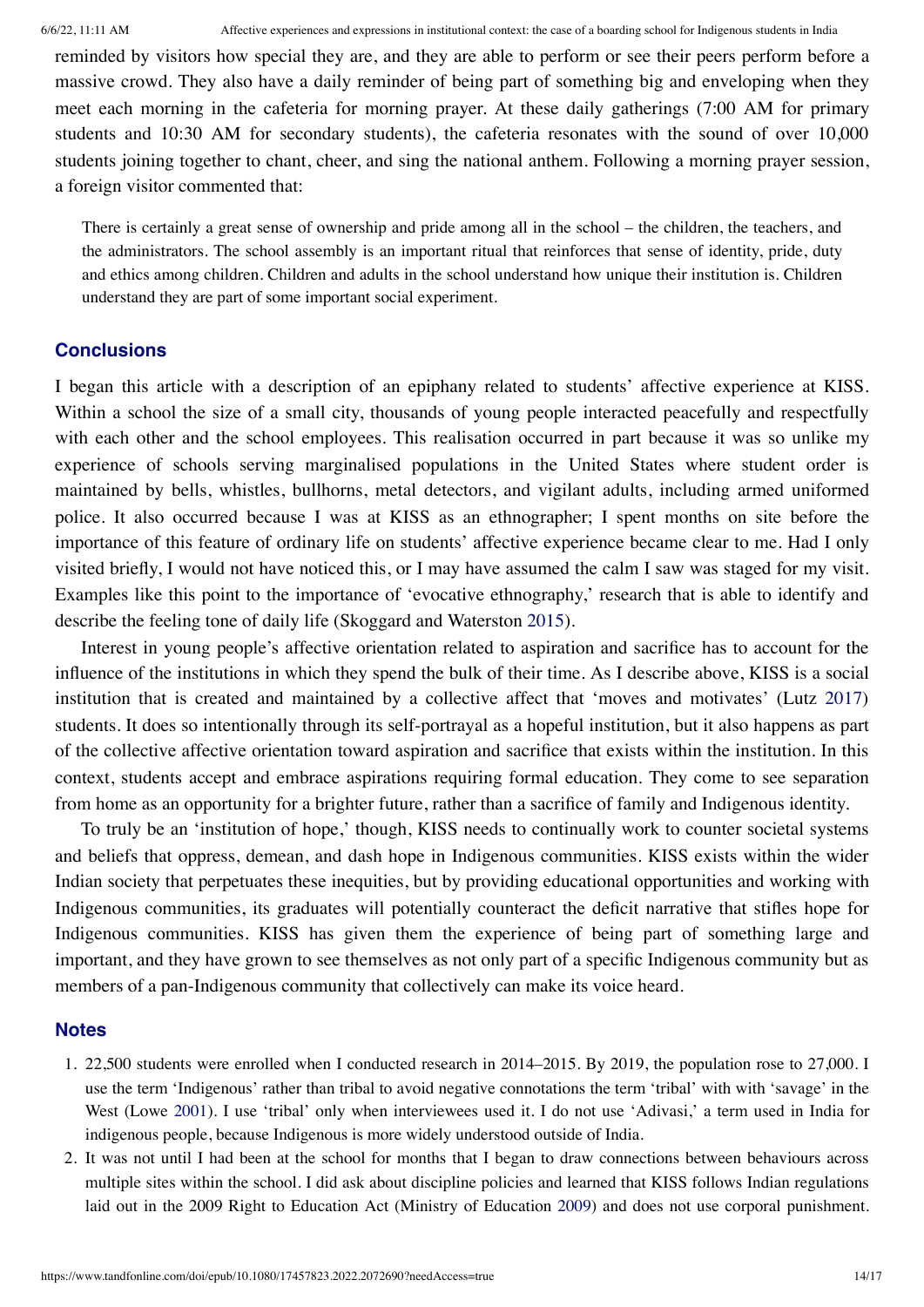reminded by visitors how special they are, and they are able to perform or see their peers perform before a massive crowd. They also have a daily reminder of being part of something big and enveloping when they meet each morning in the cafeteria for morning prayer. At these daily gatherings (7:00 AM for primary students and 10:30 AM for secondary students), the cafeteria resonates with the sound of over 10,000 students joining together to chant, cheer, and sing the national anthem. Following a morning prayer session, a foreign visitor commented that:

There is certainly a great sense of ownership and pride among all in the school – the children, the teachers, and the administrators. The school assembly is an important ritual that reinforces that sense of identity, pride, duty and ethics among children. Children and adults in the school understand how unique their institution is. Children understand they are part of some important social experiment.

## **Conclusions**

I began this article with a description of an epiphany related to students' affective experience at KISS. Within a school the size of a small city, thousands of young people interacted peacefully and respectfully with each other and the school employees. This realisation occurred in part because it was so unlike my experience of schools serving marginalised populations in the United States where student order is maintained by bells, whistles, bullhorns, metal detectors, and vigilant adults, including armed uniformed police. It also occurred because I was at KISS as an ethnographer; I spent months on site before the importance of this feature of ordinary life on students' affective experience became clear to me. Had I only visited briefly, I would not have noticed this, or I may have assumed the calm I saw was staged for my visit. Examples like this point to the importance of 'evocative ethnography,' research that is able to identify and describe the feeling tone of daily life (Skoggard and Waterston [2015\)](#page-16-2).

Interest in young people's affective orientation related to aspiration and sacrifice has to account for the influence of the institutions in which they spend the bulk of their time. As I describe above, KISS is a social institution that is created and maintained by a collective affect that 'moves and motivates' (Lutz [2017\)](#page-16-3) students. It does so intentionally through its self-portrayal as a hopeful institution, but it also happens as part of the collective affective orientation toward aspiration and sacrifice that exists within the institution. In this context, students accept and embrace aspirations requiring formal education. They come to see separation from home as an opportunity for a brighter future, rather than a sacrifice of family and Indigenous identity.

To truly be an 'institution of hope,' though, KISS needs to continually work to counter societal systems and beliefs that oppress, demean, and dash hope in Indigenous communities. KISS exists within the wider Indian society that perpetuates these inequities, but by providing educational opportunities and working with Indigenous communities, its graduates will potentially counteract the deficit narrative that stifles hope for Indigenous communities. KISS has given them the experience of being part of something large and important, and they have grown to see themselves as not only part of a specific Indigenous community but as members of a pan-Indigenous community that collectively can make its voice heard.

#### **Notes**

- <span id="page-13-0"></span>1. 22,500 students were enrolled when I conducted research in 2014–2015. By 2019, the population rose to 27,000. I use the term 'Indigenous' rather than tribal to avoid negative connotations the term 'tribal' with with 'savage' in the West (Lowe [2001\)](#page-16-16). I use 'tribal' only when interviewees used it. I do not use 'Adivasi,' a term used in India for indigenous people, because Indigenous is more widely understood outside of India.
- <span id="page-13-1"></span>2. It was not until I had been at the school for months that I began to draw connections between behaviours across multiple sites within the school. I did ask about discipline policies and learned that KISS follows Indian regulations laid out in the 2009 Right to Education Act (Ministry of Education [2009](#page-16-14)) and does not use corporal punishment.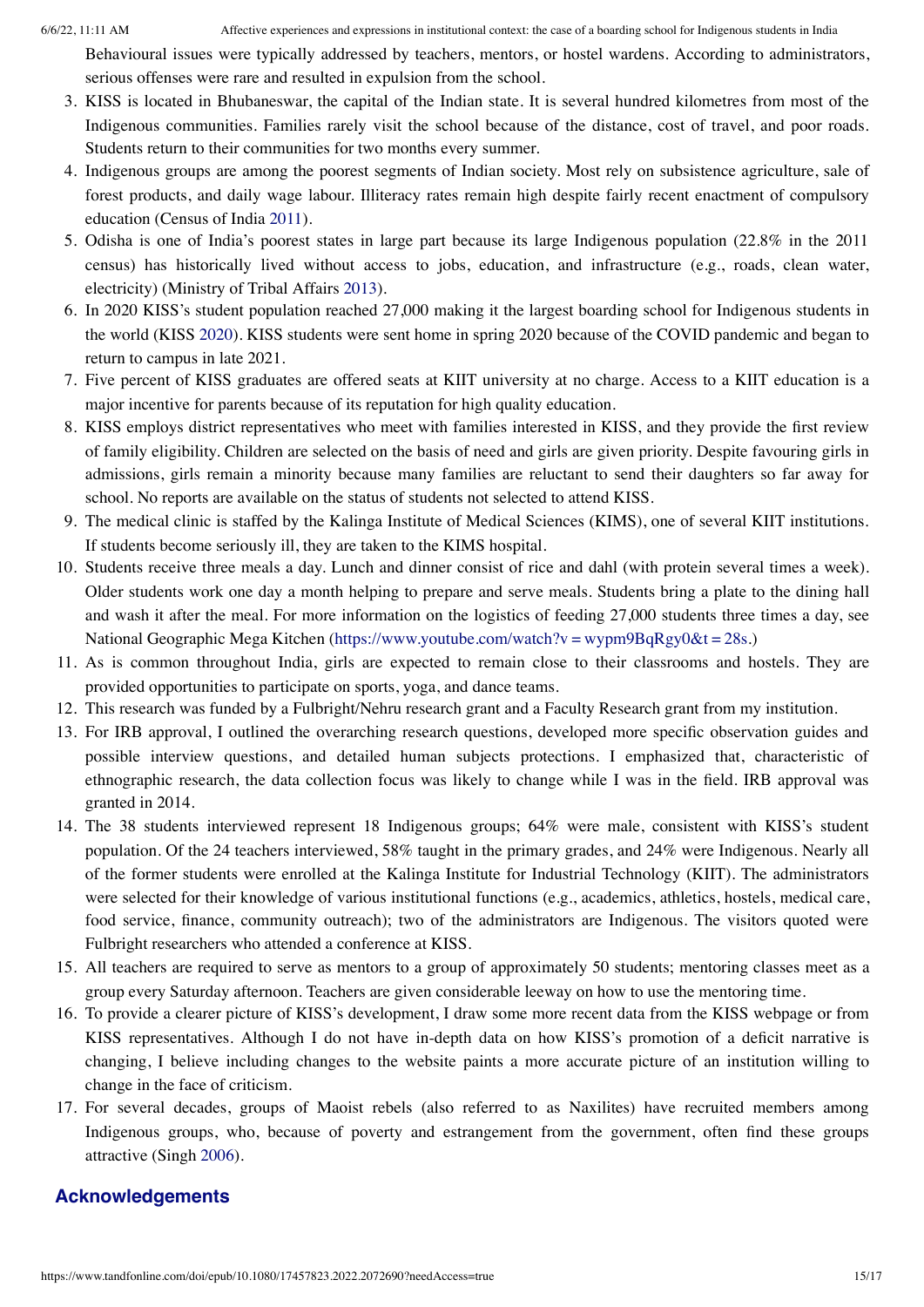Behavioural issues were typically addressed by teachers, mentors, or hostel wardens. According to administrators, serious offenses were rare and resulted in expulsion from the school.

- <span id="page-14-0"></span>3. KISS is located in Bhubaneswar, the capital of the Indian state. It is several hundred kilometres from most of the Indigenous communities. Families rarely visit the school because of the distance, cost of travel, and poor roads. Students return to their communities for two months every summer.
- <span id="page-14-1"></span>4. Indigenous groups are among the poorest segments of Indian society. Most rely on subsistence agriculture, sale of forest products, and daily wage labour. Illiteracy rates remain high despite fairly recent enactment of compulsory education (Census of India [2011\)](#page-15-27).
- <span id="page-14-2"></span>5. Odisha is one of India's poorest states in large part because its large Indigenous population (22.8% in the 2011 census) has historically lived without access to jobs, education, and infrastructure (e.g., roads, clean water, electricity) (Ministry of Tribal Affairs [2013](#page-16-13)).
- <span id="page-14-3"></span>6. In 2020 KISS's student population reached 27,000 making it the largest boarding school for Indigenous students in the world (KISS [2020](#page-15-25)). KISS students were sent home in spring 2020 because of the COVID pandemic and began to return to campus in late 2021.
- <span id="page-14-4"></span>7. Five percent of KISS graduates are offered seats at KIIT university at no charge. Access to a KIIT education is a major incentive for parents because of its reputation for high quality education.
- <span id="page-14-5"></span>8. KISS employs district representatives who meet with families interested in KISS, and they provide the first review of family eligibility. Children are selected on the basis of need and girls are given priority. Despite favouring girls in admissions, girls remain a minority because many families are reluctant to send their daughters so far away for school. No reports are available on the status of students not selected to attend KISS.
- <span id="page-14-6"></span>9. The medical clinic is staffed by the Kalinga Institute of Medical Sciences (KIMS), one of several KIIT institutions. If students become seriously ill, they are taken to the KIMS hospital.
- <span id="page-14-7"></span>10. Students receive three meals a day. Lunch and dinner consist of rice and dahl (with protein several times a week). Older students work one day a month helping to prepare and serve meals. Students bring a plate to the dining hall and wash it after the meal. For more information on the logistics of feeding 27,000 students three times a day, see National Geographic Mega Kitchen ([https://www.youtube.com/watch?v](https://www.youtube.com/watch?v%E2%80%89=%E2%80%89wypm9BqRgy0%26t%E2%80%89=%E2%80%8928s) = wypm9BqRgy0&t = 28s.)
- <span id="page-14-8"></span>11. As is common throughout India, girls are expected to remain close to their classrooms and hostels. They are provided opportunities to participate on sports, yoga, and dance teams.
- <span id="page-14-9"></span>12. This research was funded by a Fulbright/Nehru research grant and a Faculty Research grant from my institution.
- <span id="page-14-10"></span>13. For IRB approval, I outlined the overarching research questions, developed more specific observation guides and possible interview questions, and detailed human subjects protections. I emphasized that, characteristic of ethnographic research, the data collection focus was likely to change while I was in the field. IRB approval was granted in 2014.
- <span id="page-14-11"></span>14. The 38 students interviewed represent 18 Indigenous groups; 64% were male, consistent with KISS's student population. Of the 24 teachers interviewed, 58% taught in the primary grades, and 24% were Indigenous. Nearly all of the former students were enrolled at the Kalinga Institute for Industrial Technology (KIIT). The administrators were selected for their knowledge of various institutional functions (e.g., academics, athletics, hostels, medical care, food service, finance, community outreach); two of the administrators are Indigenous. The visitors quoted were Fulbright researchers who attended a conference at KISS.
- <span id="page-14-12"></span>15. All teachers are required to serve as mentors to a group of approximately 50 students; mentoring classes meet as a group every Saturday afternoon. Teachers are given considerable leeway on how to use the mentoring time.
- <span id="page-14-13"></span>16. To provide a clearer picture of KISS's development, I draw some more recent data from the KISS webpage or from KISS representatives. Although I do not have in-depth data on how KISS's promotion of a deficit narrative is changing, I believe including changes to the website paints a more accurate picture of an institution willing to change in the face of criticism.
- <span id="page-14-14"></span>17. For several decades, groups of Maoist rebels (also referred to as Naxilites) have recruited members among Indigenous groups, who, because of poverty and estrangement from the government, often find these groups attractive (Singh [2006\)](#page-16-17).

# **Acknowledgements**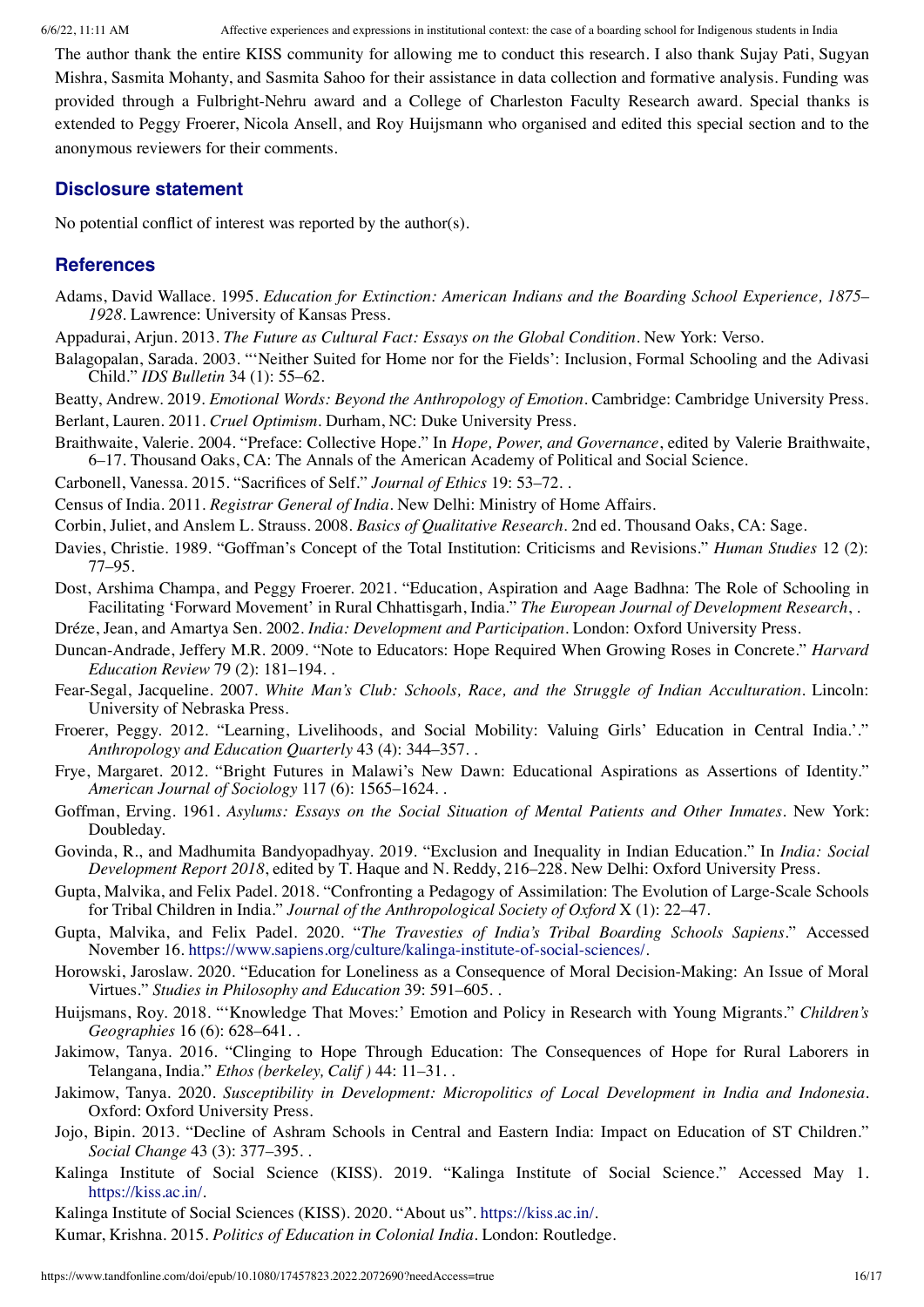The author thank the entire KISS community for allowing me to conduct this research. I also thank Sujay Pati, Sugyan Mishra, Sasmita Mohanty, and Sasmita Sahoo for their assistance in data collection and formative analysis. Funding was provided through a Fulbright-Nehru award and a College of Charleston Faculty Research award. Special thanks is extended to Peggy Froerer, Nicola Ansell, and Roy Huijsmann who organised and edited this special section and to the anonymous reviewers for their comments.

## **Disclosure statement**

No potential conflict of interest was reported by the author(s).

# **References**

- <span id="page-15-2"></span>Adams, David Wallace. 1995. *Education for Extinction: American Indians and the Boarding School Experience, 1875– 1928*. Lawrence: University of Kansas Press.
- <span id="page-15-8"></span>Appadurai, Arjun. 2013. *The Future as Cultural Fact: Essays on the Global Condition*. New York: Verso.
- <span id="page-15-11"></span>Balagopalan, Sarada. 2003. "'Neither Suited for Home nor for the Fields': Inclusion, Formal Schooling and the Adivasi Child." *IDS Bulletin* 34 (1): 55–62.
- <span id="page-15-14"></span><span id="page-15-5"></span>Beatty, Andrew. 2019. *Emotional Words: Beyond the Anthropology of Emotion*. Cambridge: Cambridge University Press. Berlant, Lauren. 2011. *Cruel Optimism*. Durham, NC: Duke University Press.
- <span id="page-15-3"></span>Braithwaite, Valerie. 2004. "Preface: Collective Hope." In *Hope, Power, and Governance*, edited by Valerie Braithwaite, 6–17. Thousand Oaks, CA: The Annals of the American Academy of Political and Social Science.
- <span id="page-15-16"></span>Carbonell, Vanessa. 2015. "Sacrifices of Self." *Journal of Ethics* 19: 53–72. .

<span id="page-15-27"></span>Census of India. 2011. *Registrar General of India*. New Delhi: Ministry of Home Affairs.

<span id="page-15-26"></span>Corbin, Juliet, and Anslem L. Strauss. 2008. *Basics of Qualitative Research*. 2nd ed. Thousand Oaks, CA: Sage.

- <span id="page-15-19"></span>Davies, Christie. 1989. "Goffman's Concept of the Total Institution: Criticisms and Revisions." *Human Studies* 12 (2): 77–95.
- <span id="page-15-9"></span>Dost, Arshima Champa, and Peggy Froerer. 2021. "Education, Aspiration and Aage Badhna: The Role of Schooling in Facilitating 'Forward Movement' in Rural Chhattisgarh, India." *The European Journal of Development Research*, .

<span id="page-15-21"></span>Dréze, Jean, and Amartya Sen. 2002. *India: Development and Participation*. London: Oxford University Press.

- <span id="page-15-18"></span>Duncan-Andrade, Jeffery M.R. 2009. "Note to Educators: Hope Required When Growing Roses in Concrete." *Harvard Education Review* 79 (2): 181–194. .
- <span id="page-15-20"></span>Fear-Segal, Jacqueline. 2007. *White Man's Club: Schools, Race, and the Struggle of Indian Acculturation*. Lincoln: University of Nebraska Press.
- <span id="page-15-24"></span>Froerer, Peggy. 2012. "Learning, Livelihoods, and Social Mobility: Valuing Girls' Education in Central India.'." *Anthropology and Education Quarterly* 43 (4): 344–357. .
- <span id="page-15-13"></span>Frye, Margaret. 2012. "Bright Futures in Malawi's New Dawn: Educational Aspirations as Assertions of Identity." *American Journal of Sociology* 117 (6): 1565–1624. .
- <span id="page-15-4"></span>Goffman, Erving. 1961. *Asylums: Essays on the Social Situation of Mental Patients and Other Inmates*. New York: Doubleday.
- <span id="page-15-22"></span>Govinda, R., and Madhumita Bandyopadhyay. 2019. "Exclusion and Inequality in Indian Education." In *India: Social Development Report 2018*, edited by T. Haque and N. Reddy, 216–228. New Delhi: Oxford University Press.
- <span id="page-15-0"></span>Gupta, Malvika, and Felix Padel. 2018. "Confronting a Pedagogy of Assimilation: The Evolution of Large-Scale Schools for Tribal Children in India." *Journal of the Anthropological Society of Oxford* X (1): 22–47.
- <span id="page-15-1"></span>Gupta, Malvika, and Felix Padel. 2020. "*The Travesties of India's Tribal Boarding Schools Sapiens*." Accessed November 16. [https://www.sapiens.org/culture/kalinga-institute-of-social-sciences/.](https://www.sapiens.org/culture/kalinga-institute-of-social-sciences/)
- <span id="page-15-17"></span>Horowski, Jaroslaw. 2020. "Education for Loneliness as a Consequence of Moral Decision-Making: An Issue of Moral Virtues." *Studies in Philosophy and Education* 39: 591–605. .
- <span id="page-15-6"></span>Huijsmans, Roy. 2018. "'Knowledge That Moves:' Emotion and Policy in Research with Young Migrants." *Children's Geographies* 16 (6): 628–641. .
- <span id="page-15-15"></span>Jakimow, Tanya. 2016. "Clinging to Hope Through Education: The Consequences of Hope for Rural Laborers in Telangana, India." *Ethos (berkeley, Calif )* 44: 11–31. .
- <span id="page-15-7"></span>Jakimow, Tanya. 2020. *Susceptibility in Development: Micropolitics of Local Development in India and Indonesia*. Oxford: Oxford University Press.
- <span id="page-15-23"></span>Jojo, Bipin. 2013. "Decline of Ashram Schools in Central and Eastern India: Impact on Education of ST Children." *Social Change* 43 (3): 377–395. .
- <span id="page-15-10"></span>Kalinga Institute of Social Science (KISS). 2019. "Kalinga Institute of Social Science." Accessed May 1. <https://kiss.ac.in/>.

<span id="page-15-25"></span>Kalinga Institute of Social Sciences (KISS). 2020. "About us". [https://kiss.ac.in/.](https://kiss.ac.in/)

<span id="page-15-12"></span>Kumar, Krishna. 2015. *Politics of Education in Colonial India*. London: Routledge.